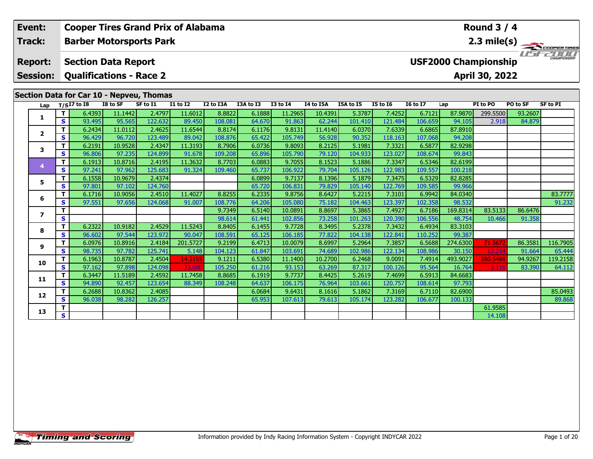| Event:                            |                | <b>Cooper Tires Grand Prix of Alabama</b>                    |                   |                   |                                    |                   |                  |                    |                   |                   |                   |                   |                             | Round $3/4$      |                     |                       |
|-----------------------------------|----------------|--------------------------------------------------------------|-------------------|-------------------|------------------------------------|-------------------|------------------|--------------------|-------------------|-------------------|-------------------|-------------------|-----------------------------|------------------|---------------------|-----------------------|
| Track:                            |                | <b>Barber Motorsports Park</b>                               |                   |                   |                                    |                   |                  |                    |                   |                   |                   |                   |                             |                  |                     | $2.3 \text{ mile(s)}$ |
| <b>Report:</b><br><b>Session:</b> |                | <b>Section Data Report</b><br><b>Qualifications - Race 2</b> |                   |                   |                                    |                   |                  |                    |                   |                   |                   |                   | <b>USF2000 Championship</b> | April 30, 2022   | I I <del>'n F</del> | CHAMPIONSHIP          |
|                                   |                | Section Data for Car 10 - Nepveu, Thomas                     |                   |                   |                                    |                   |                  |                    |                   |                   |                   |                   |                             |                  |                     |                       |
| Lap                               |                | $T/SI7$ to I8                                                | I8 to SF          | SF to I1          | $\overline{11}$ to $\overline{12}$ | I2 to I3A         | I3A to I3        | $I3$ to $I4$       | I4 to I5A         | I5A to I5         | <b>I5 to 16</b>   | <b>I6 to I7</b>   | Lap                         | PI to PO         | PO to SF            | <b>SF to PI</b>       |
| 1                                 | T.<br><b>S</b> | 6.4393                                                       | 11.1442           | 2.4797<br>122.632 | 11.6012                            | 8.8822            | 6.1888           | 11.2965            | 10.4391           | 5.3787            | 7.4252            | 6.7121            | 87.9870                     | 299.5500         | 93.2607             |                       |
|                                   | T.             | 93.495<br>6.2434                                             | 95.565<br>11.0112 | 2.4625            | 89.450<br>11.6544                  | 108.081<br>8.8174 | 64.670<br>6.1176 | 91.863<br>9.8131   | 62.244<br>11.4140 | 101.410<br>6.0370 | 121.484<br>7.6339 | 106.659<br>6.6865 | 94.105<br>87.8910           | 2.918            | 84.879              |                       |
| $\mathbf{2}$                      | <b>S</b>       | 96.429                                                       | 96.720            | 123.489           | 89.042                             | 108.876           | 65.422           | 105.749            | 56.928            | 90.352            | 118.163           | 107.068           | 94.208                      |                  |                     |                       |
|                                   | T.             | 6.2191                                                       | 10.9528           | 2.4347            | 11.3193                            | 8.7906            | 6.0736           | 9.8093             | 8.2125            | 5.1981            | 7.3321            | 6.5877            | 82.9298                     |                  |                     |                       |
| 3                                 | <b>S</b>       | 96.806                                                       | 97.235            | 124.899           | 91.678                             | 109.208           | 65.896           | 105.790            | 79.120            | 104.933           | 123.027           | 108.674           | 99.843                      |                  |                     |                       |
|                                   | T.             | 6.1913                                                       | 10.8716           | 2.4195            | 11.3632                            | 8.7703            | 6.0883           | 9.7055             | 8.1523            | 5.1886            | 7.3347            | 6.5346            | 82.6199                     |                  |                     |                       |
| 4                                 | <b>S</b>       | 97.241                                                       | 97.962            | 125.683           | 91.324                             | 109.460           | 65.737           | 106.922            | 79.704            | 105.126           | 122.983           | 109.557           | 100.218                     |                  |                     |                       |
| 5                                 | T.             | 6.1558                                                       | 10.9679           | 2.4374            |                                    |                   | 6.0899           | 9.7137             | 8.1396            | 5.1879            | 7.3475            | 6.5329            | 82.8285                     |                  |                     |                       |
|                                   | <b>S</b>       | 97.801                                                       | 97.102            | 124.760           |                                    |                   | 65.720           | 106.831            | 79.829            | 105.140           | 122.769           | 109.585           | 99.966                      |                  |                     |                       |
| 6                                 | T.             | 6.1716                                                       | 10.9056           | 2.4510            | 11.4027                            | 8.8255            | 6.2335           | 9.8756             | 8.6427            | 5.2215            | 7.3101            | 6.9942            | 84.0340                     |                  |                     | 83.7777               |
|                                   | $\mathbf{s}$   | 97.551                                                       | 97.656            | 124.068           | 91.007                             | 108.776           | 64.206           | 105.080            | 75.182            | 104.463           | 123.397           | 102.358           | 98.532                      |                  |                     | 91.232                |
| $\overline{ }$                    | т              |                                                              |                   |                   |                                    | 9.7349            | 6.5140           | 10.0891            | 8.8697            | 5.3865            | 7.4927            | 6.7186            | 169.8314                    | 83.5133          | 86.6476             |                       |
|                                   | S              |                                                              |                   |                   |                                    | 98.614            | 61.441           | 102.856            | 73.258            | 101.263           | 120.390           | 106.556           | 48.754                      | 10.466           | 91.358              |                       |
| 8                                 | T.             | 6.2322                                                       | 10.9182           | 2.4529            | 11.5243                            | 8.8405            | 6.1455           | 9.7728             | 8.3495            | 5.2378            | 7.3432            | 6.4934            | 83.3103                     |                  |                     |                       |
|                                   |                | 96.602                                                       | 97.544            | 123.972           | 90.047                             | 108.591           | 65.125           | 106.185            | 77.822            | 104.138           | 122.841           | 110.252           | 99.387                      |                  |                     |                       |
| <b>S</b><br>T.<br>9               | 6.0976         | 10.8916                                                      | 2.4184<br>125.741 | 201.5727          | 9.2199                             | 6.4713            | 10.0079          | 8.6997             | 5.2964            | 7.3857            | 6.5688            | 274.6300          | 71.567                      | 86.3581          | 116.7905            |                       |
|                                   | S.<br>T.       | 98.735<br>6.1963                                             | 97.782<br>10.8787 | 2.4504            | 5.148<br>14.2155                   | 104.123<br>9.1211 | 61.847<br>6.5380 | 103.691<br>11.1400 | 74.689<br>10.2700 | 102.986<br>6.2468 | 122.134<br>9.0091 | 108.986<br>7.4914 | 30.150<br>493.9027          | 12.21            | 91.664<br>94.9267   | 65.444<br>119.2158    |
| 10                                | S.             | 97.162                                                       | 97.898            | 124.098           | 73.000                             | 105.250           | 61.216           | 93.153             | 63.269            | 87.317            | 100.126           | 95.564            | 16.764                      | 280.5488<br>3.11 | 83.390              | 64.112                |
|                                   | T.             | 6.3447                                                       | 11.5189           | 2.4592            | 11.7458                            | 8.8685            | 6.1919           | 9.7737             | 8.4425            | 5.2619            | 7.4699            | 6.5913            | 84.6683                     |                  |                     |                       |
| 11                                | S.             | 94.890                                                       | 92.457            | 123.654           | 88.349                             | 108.248           | 64.637           | 106.175            | 76.964            | 103.661           | 120.757           | 108.614           | 97.793                      |                  |                     |                       |
|                                   | т              | 6.2688                                                       | 10.8362           | 2.4085            |                                    |                   | 6.0684           | 9.6431             | 8.1616            | 5.1862            | 7.3169            | 6.7110            | 82.6900                     |                  |                     | 85.0493               |
| 12                                | S.             | 96.038                                                       | 98.282            | 126.257           |                                    |                   | 65.953           | 107.613            | 79.613            | 105.174           | 123.282           | 106.677           | 100.133                     |                  |                     | 89.868                |

**T S** 1.9585 **S** 1 **A** 14.108

**13**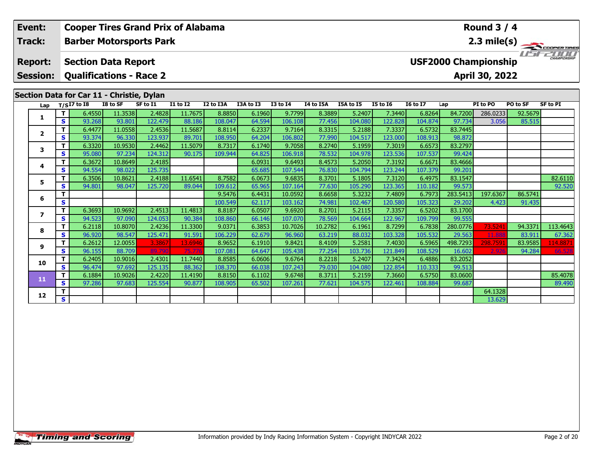| Event:          |          |                                           |                   |                   | <b>Cooper Tires Grand Prix of Alabama</b> |                   |                  |                   |                  |                   |                   |                   |                   | <b>Round 3 / 4</b>          |          |                       |
|-----------------|----------|-------------------------------------------|-------------------|-------------------|-------------------------------------------|-------------------|------------------|-------------------|------------------|-------------------|-------------------|-------------------|-------------------|-----------------------------|----------|-----------------------|
| Track:          |          | <b>Barber Motorsports Park</b>            |                   |                   |                                           |                   |                  |                   |                  |                   |                   |                   |                   |                             |          | $2.3 \text{ mile(s)}$ |
| <b>Report:</b>  |          | <b>Section Data Report</b>                |                   |                   |                                           |                   |                  |                   |                  |                   |                   |                   |                   | <b>USF2000 Championship</b> |          | CHAMPIONSHIP          |
| <b>Session:</b> |          | <b>Qualifications - Race 2</b>            |                   |                   |                                           |                   |                  |                   |                  |                   |                   |                   |                   | April 30, 2022              |          |                       |
|                 |          | Section Data for Car 11 - Christie, Dylan |                   |                   |                                           |                   |                  |                   |                  |                   |                   |                   |                   |                             |          |                       |
| Lap             |          | $T/SI7$ to $I8$                           | I8 to SF          | SF to I1          | <b>I1 to I2</b>                           | I2 to I3A         | I3A to I3        | <b>I3 to 14</b>   | I4 to I5A        | I5A to I5         | <b>I5 to 16</b>   | <b>16 to 17</b>   | Lap               | PI to PO                    | PO to SF | <b>SF to PI</b>       |
| 1               | T.       | 6.4550                                    | 11.3538           | 2.4828            | 11.7675                                   | 8.8850            | 6.1960           | 9.7799            | 8.3889           | 5.2407            | 7.3440            | 6.8264            | 84.7200           | 286.0233                    | 92.5679  |                       |
|                 | <b>S</b> | 93.268                                    | 93.801            | 122.479           | 88.186                                    | 108.047           | 64.594           | 106.108           | 77.456           | 104.080           | 122.828           | 104.874           | 97.734            | 3.056                       | 85.515   |                       |
| $\mathbf{2}$    | T.<br>S. | 6.4477<br>93.374                          | 11.0558           | 2.4536<br>123.937 | 11.5687<br>89.701                         | 8.8114            | 6.2337           | 9.7164            | 8.3315           | 5.2188            | 7.3337            | 6.5732            | 83.7445           |                             |          |                       |
|                 | T.       | 6.3320                                    | 96.330<br>10.9530 | 2.4462            | 11.5079                                   | 108.950<br>8.7317 | 64.204<br>6.1740 | 106.802<br>9.7058 | 77.990<br>8.2740 | 104.517<br>5.1959 | 123.000<br>7.3019 | 108.913<br>6.6573 | 98.872<br>83.2797 |                             |          |                       |
| 3               | <b>S</b> | 95.080                                    | 97.234            | 124.312           | 90.175                                    | 109.944           | 64.825           | 106.918           | 78.532           | 104.978           | 123.536           | 107.537           | 99.424            |                             |          |                       |
|                 | T.       | 6.3672                                    | 10.8649           | 2.4185            |                                           |                   | 6.0931           | 9.6493            | 8.4573           | 5.2050            | 7.3192            | 6.6671            | 83.4666           |                             |          |                       |
| 4               | <b>S</b> | 94.554                                    | 98.022            | 125.735           |                                           |                   | 65.685           | 107.544           | 76.830           | 104.794           | 123.244           | 107.379           | 99.201            |                             |          |                       |
|                 | т        | 6.3506                                    | 10.8621           | 2.4188            | 11.6541                                   | 8.7582            | 6.0673           | 9.6835            | 8.3701           | 5.1805            | 7.3120            | 6.4975            | 83.1547           |                             |          | 82.6110               |
| 5               | <b>S</b> | 94.801                                    | 98.047            | 125.720           | 89.044                                    | 109.612           | 65.965           | 107.164           | 77.630           | 105.290           | 123.365           | 110.182           | 99.573            |                             |          | 92.520                |
|                 | T.       |                                           |                   |                   |                                           | 9.5476            | 6.4431           | 10.0592           | 8.6658           | 5.3232            | 7.4809            | 6.7973            | 283.5413          | 197.6367                    | 86.5741  |                       |
| 6               | <b>S</b> |                                           |                   |                   |                                           | 100.549           | 62.117           | 103.162           | 74.981           | 102.467           | 120.580           | 105.323           | 29.202            | 4.423                       | 91.435   |                       |
| $\overline{ }$  | T.       | 6.3693                                    | 10.9692           | 2.4513            | 11.4813                                   | 8.8187            | 6.0507           | 9.6920            | 8.2701           | 5.2115            | 7.3357            | 6.5202            | 83.1700           |                             |          |                       |
|                 | S.       | 94.523                                    | 97.090            | 124.053           | 90.384                                    | 108.860           | 66.146           | 107.070           | 78.569           | 104.664           | 122.967           | 109.799           | 99.555            |                             |          |                       |
| 8               | т        | 6.2118                                    | 10.8070           | 2.4236            | 11.3300                                   | 9.0371            | 6.3853           | 10.7026           | 10.2782          | 6.1961            | 8.7299            | 6.7838            | 280.0776          | 73.5241                     | 94.3371  | 113.4643              |
|                 | <b>S</b> | 96.920                                    | 98.547            | 125.471           | 91.591                                    | 106.229           | 62.679           | 96.960            | 63.219           | 88.032            | 103.328           | 105.532           | 29.563            | 11.88                       | 83.911   | 67.362                |
| 9               | T.       | 6.2612                                    | 12.0055           | 3.3867            | 13.6946                                   | 8.9652            | 6.1910           | 9.8421            | 8.4109           | 5.2581            | 7.4030            | 6.5965            | 498.7293          | 298.7591                    | 83.9585  | 114.8871              |
|                 | S        | 96.155                                    | 88.709            | 89.79             | 75.77                                     | 107.081           | 64.647           | 105.438           | 77.254           | 103.736           | 121.849           | 108.529           | 16.602            | 2.92                        | 94.284   | 66.528                |
| 10              | т        | 6.2405                                    | 10.9016           | 2.4301            | 11.7440                                   | 8.8585            | 6.0606           | 9.6764            | 8.2218           | 5.2407            | 7.3424            | 6.4886            | 83.2052           |                             |          |                       |
|                 | S.       | 96.474                                    | 97.692            | 125.135           | 88.362                                    | 108.370           | 66.038           | 107.243           | 79.030           | 104.080           | 122.854           | 110.333           | 99.513            |                             |          |                       |
| 11              |          | 6.1884                                    | 10.9026           | 2.4220            | 11.4190                                   | 8.8150            | 6.1102           | 9.6748            | 8.3711           | 5.2159            | 7.3660            | 6.5750            | 83.0600           |                             |          | 85.4078               |
|                 | S.       | 97.286                                    | 97.683            | 125.554           | 90.877                                    | 108.905           | 65.502           | 107.261           | 77.621           | 104.575           | 122.461           | 108.884           | 99.687            |                             |          | 89.490                |

**r S** 13.629

**12**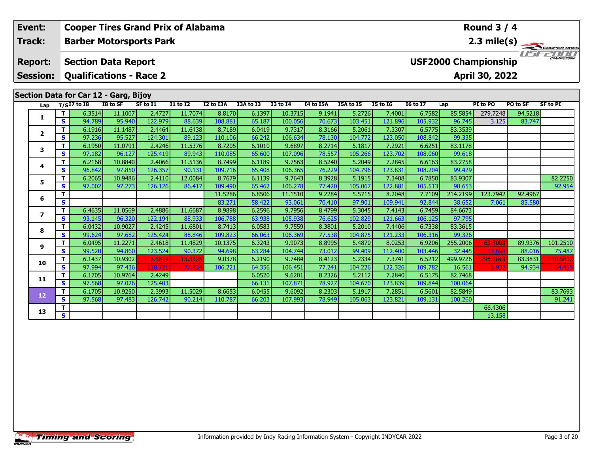| Event:                   |          |                                       |                   |                   | <b>Cooper Tires Grand Prix of Alabama</b> |                   |                  |                   |                  |                   |                   |                   |                    | <b>Round 3 / 4</b>          |                   |                       |
|--------------------------|----------|---------------------------------------|-------------------|-------------------|-------------------------------------------|-------------------|------------------|-------------------|------------------|-------------------|-------------------|-------------------|--------------------|-----------------------------|-------------------|-----------------------|
| Track:                   |          | <b>Barber Motorsports Park</b>        |                   |                   |                                           |                   |                  |                   |                  |                   |                   |                   |                    |                             |                   | $2.3 \text{ mile(s)}$ |
| <b>Report:</b>           |          | <b>Section Data Report</b>            |                   |                   |                                           |                   |                  |                   |                  |                   |                   |                   |                    | <b>USF2000 Championship</b> |                   | CHAMPIONSHIP          |
| <b>Session:</b>          |          | <b>Qualifications - Race 2</b>        |                   |                   |                                           |                   |                  |                   |                  |                   |                   |                   |                    | April 30, 2022              |                   |                       |
|                          |          | Section Data for Car 12 - Garg, Bijoy |                   |                   |                                           |                   |                  |                   |                  |                   |                   |                   |                    |                             |                   |                       |
| Lap                      |          | $T/SI7$ to 18                         | I8 to SF          | SF to I1          | <b>I1 to I2</b>                           | I2 to I3A         | I3A to I3        | <b>I3 to I4</b>   | I4 to I5A        | I5A to I5         | <b>I5 to 16</b>   | <b>16 to 17</b>   | Lap                | PI to PO                    | PO to SF          | <b>SF to PI</b>       |
| 1                        | т        | 6.3514                                | 11.1007           | 2.4727            | 11.7074                                   | 8.8170            | 6.1397           | 10.3715           | 9.1941           | 5.2726            | 7.4001            | 6.7582            | 85.5854            | 279.7248                    | 94.5218           |                       |
|                          | S.       | 94.789                                | 95.940            | 122.979           | 88.639                                    | 108.881           | 65.187           | 100.056           | 70.673           | 103.451           | 121.896           | 105.932           | 96.745             | 3.125                       | 83.747            |                       |
| $\mathbf{2}$             | T.<br>S  | 6.1916<br>97.236                      | 11.1487<br>95.527 | 2.4464<br>124.301 | 11.6438<br>89.123                         | 8.7189<br>110.106 | 6.0419<br>66.242 | 9.7317<br>106.634 | 8.3166<br>78.130 | 5.2061<br>104.772 | 7.3307<br>123.050 | 6.5775<br>108.842 | 83.3539<br>99.335  |                             |                   |                       |
|                          | T.       | 6.1950                                | 11.0791           | 2.4246            | 11.5376                                   | 8.7205            | 6.1010           | 9.6897            | 8.2714           | 5.1817            | 7.2921            | 6.6251            | 83.1178            |                             |                   |                       |
| 3                        | <b>S</b> | 97.182                                | 96.127            | 125.419           | 89.943                                    | 110.085           | 65.600           | 107.096           | 78.557           | 105.266           | 123.702           | 108.060           | 99.618             |                             |                   |                       |
|                          | T.       | 6.2168                                | 10.8840           | 2.4066            | 11.5136                                   | 8.7499            | 6.1189           | 9.7563            | 8.5240           | 5.2049            | 7.2845            | 6.6163            | 83.2758            |                             |                   |                       |
| 4                        | <b>S</b> | 96.842                                | 97.850            | 126.357           | 90.131                                    | 109.716           | 65.408           | 106.365           | 76.229           | 104.796           | 123.831           | 108.204           | 99.429             |                             |                   |                       |
|                          | T.       | 6.2065                                | 10.9486           | 2.4110            | 12.0084                                   | 8.7679            | 6.1139           | 9.7643            | 8.3928           | 5.1915            | 7.3408            | 6.7850            | 83.9307            |                             |                   | 82.2250               |
| 5                        | S        | 97.002                                | 97.273            | 126.126           | 86.417                                    | 109.490           | 65.462           | 106.278           | 77.420           | 105.067           | 122.881           | 105.513           | 98.653             |                             |                   | 92.954                |
| 6                        | т        |                                       |                   |                   |                                           | 11.5286           | 6.8506           | 11.1510           | 9.2284           | 5.5715            | 8.2048            | 7.7109            | 214.2199           | 123.7942                    | 92.4967           |                       |
|                          | <b>S</b> |                                       |                   |                   |                                           | 83.271            | 58.422           | 93.061            | 70.410           | 97.901            | 109.941           | 92.844            | 38.652             | 7.061                       | 85.580            |                       |
| $\overline{\phantom{a}}$ | T.       | 6.4635                                | 11.0569           | 2.4886            | 11.6687                                   | 8.9898            | 6.2596           | 9.7956            | 8.4799           | 5.3045            | 7.4143            | 6.7459            | 84.6673            |                             |                   |                       |
|                          | <b>S</b> | 93.145                                | 96.320            | 122.194           | 88.933                                    | 106.788           | 63.938           | 105.938           | 76.625           | 102.829           | 121.663           | 106.125           | 97.795             |                             |                   |                       |
| 8                        | T.       | 6.0432                                | 10.9027           | 2.4245            | 11.6801                                   | 8.7413            | 6.0583           | 9.7559            | 8.3801           | 5.2010            | 7.4406            | 6.7338            | 83.3615            |                             |                   |                       |
|                          | <b>S</b> | 99.624                                | 97.682            | 125.424           | 88.846                                    | 109.823           | 66.063           | 106.369           | 77.538           | 104.875           | 121.233           | 106.316           | 99.326             |                             |                   |                       |
| 9                        | T.<br>S  | 6.0495<br>99.520                      | 11.2271<br>94.860 | 2.4618<br>123.524 | 11.4829<br>90.372                         | 10.1375<br>94.698 | 6.3243           | 9.9073<br>104.744 | 8.8995<br>73.012 | 5.4870<br>99.409  | 8.0253            | 6.9206            | 255.2006<br>32.445 | 63.8097<br>13.69            | 89.9376<br>88.016 | 101.2510<br>75.487    |
|                          | T.       | 6.1437                                | 10.9302           | 2.5614            | 13.3325                                   | 9.0378            | 63.284<br>6.2190 | 9.7484            | 8.4123           | 5.2334            | 112.400<br>7.3741 | 103.446<br>6.5212 | 499.9726           | 298.081                     | 83.3831           | 118.5812              |
| 10                       | S.       | 97.994                                | 97.436            | 118.72            | 77.83                                     | 106.221           | 64.356           | 106.451           | 77.241           | 104.226           | 122.326           | 109.782           | 16.561             | 2.93                        | 94.934            | 64.455                |
|                          | T.       | 6.1705                                | 10.9764           | 2.4249            |                                           |                   | 6.0520           | 9.6201            | 8.2326           | 5.2112            | 7.2840            | 6.5175            | 82.7468            |                             |                   |                       |
| 11                       | S        | 97.568                                | 97.026            | 125.403           |                                           |                   | 66.131           | 107.871           | 78.927           | 104.670           | 123.839           | 109.844           | 100.064            |                             |                   |                       |
|                          | Т        | 6.1705                                | 10.9250           | 2.3993            | 11.5029                                   | 8.6653            | 6.0455           | 9.6092            | 8.2303           | 5.1917            | 7.2851            | 6.5601            | 82.5849            |                             |                   | 83.7693               |
| 12                       | S.       | 97.568                                | 97.483            | 126.742           | 90.214                                    | 110.787           | 66.203           | 107.993           | 78.949           | 105.063           | 123.821           | 109.131           | 100.260            |                             |                   | 91.241                |

**T S** 1 **S** 1 **S** 13.158

**13**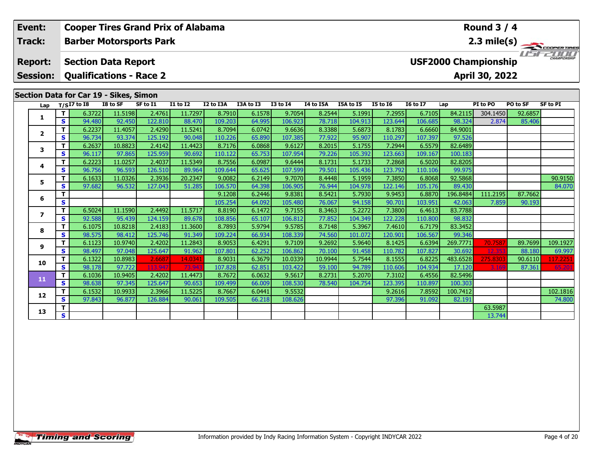| Event:          |               | <b>Cooper Tires Grand Prix of Alabama</b> |          |          |                                    |                   |                  |                   |                  |                  |                  |                   |                    | Round $3/4$                 |          |                       |
|-----------------|---------------|-------------------------------------------|----------|----------|------------------------------------|-------------------|------------------|-------------------|------------------|------------------|------------------|-------------------|--------------------|-----------------------------|----------|-----------------------|
| Track:          |               | <b>Barber Motorsports Park</b>            |          |          |                                    |                   |                  |                   |                  |                  |                  |                   |                    |                             |          | $2.3 \text{ mile(s)}$ |
| <b>Report:</b>  |               | <b>Section Data Report</b>                |          |          |                                    |                   |                  |                   |                  |                  |                  |                   |                    | <b>USF2000 Championship</b> |          |                       |
| <b>Session:</b> |               | <b>Qualifications - Race 2</b>            |          |          |                                    |                   |                  |                   |                  |                  |                  |                   |                    | April 30, 2022              |          |                       |
|                 |               | Section Data for Car 19 - Sikes, Simon    | I8 to SF | SF to I1 | $\overline{11}$ to $\overline{12}$ | I2 to I3A         | I3A to I3        | <b>I3 to I4</b>   | I4 to I5A        | I5A to I5        | <b>I5 to 16</b>  | <b>I6 to I7</b>   |                    | PI to PO                    | PO to SF | SF to PI              |
| Lap             | T.            | $T/SI7$ to $I8$<br>6.3722                 | 11.5198  | 2.4761   | 11.7297                            | 8.7910            | 6.1578           | 9.7054            | 8.2544           | 5.1991           | 7.2955           | 6.7105            | Lap<br>84.2115     | 304.1450                    | 92.6857  |                       |
| 1               | S.            | 94.480                                    | 92.450   | 122.810  | 88.470                             | 109.203           | 64.995           | 106.923           | 78.718           | 104.913          | 123.644          | 106.685           | 98.324             | 2.874                       | 85.406   |                       |
|                 | T.            | 6.2237                                    | 11.4057  | 2.4290   | 11.5241                            | 8.7094            | 6.0742           | 9.6636            | 8.3388           | 5.6873           | 8.1783           | 6.6660            | 84.9001            |                             |          |                       |
| $\overline{2}$  | S.            | 96.734                                    | 93.374   | 125.192  | 90.048                             | 110.226           | 65.890           | 107.385           | 77.922           | 95.907           | 110.297          | 107.397           | 97.526             |                             |          |                       |
| 3               | T.            | 6.2637                                    | 10.8823  | 2.4142   | 11.4423                            | 8.7176            | 6.0868           | 9.6127            | 8.2015           | 5.1755           | 7.2944           | 6.5579            | 82.6489            |                             |          |                       |
|                 | <b>S</b>      | 96.117                                    | 97.865   | 125.959  | 90.692                             | 110.122           | 65.753           | 107.954           | 79.226           | 105.392          | 123.663          | 109.167           | 100.183            |                             |          |                       |
| 4               | T.            | 6.2223                                    | 11.0257  | 2.4037   | 11.5349                            | 8.7556            | 6.0987           | 9.6444            | 8.1731           | 5.1733           | 7.2868           | 6.5020            | 82.8205            |                             |          |                       |
|                 | S.            | 96.756                                    | 96.593   | 126.510  | 89.964                             | 109.644           | 65.625           | 107.599           | 79.501           | 105.436          | 123.792          | 110.106           | 99.975             |                             |          |                       |
| 5               | T.            | 6.1633                                    | 11.0326  | 2.3936   | 20.2347                            | 9.0082            | 6.2149           | 9.7070            | 8.4448           | 5.1959           | 7.3850           | 6.8068            | 92.5868            |                             |          | 90.9150               |
|                 | S.            | 97.682                                    | 96.532   | 127.043  | 51.285                             | 106.570           | 64.398           | 106.905           | 76.944           | 104.978          | 122.146          | 105.176           | 89.430             |                             |          | 84.070                |
| 6               | т<br><b>S</b> |                                           |          |          |                                    | 9.1208            | 6.2446           | 9.8381            | 8.5421           | 5.7930           | 9.9453<br>90.701 | 6.8870            | 196.8484<br>42.063 | 111.2195                    | 87.7662  |                       |
|                 | T.            | 6.5024                                    | 11.1590  | 2.4492   | 11.5717                            | 105.254<br>8.8190 | 64.092<br>6.1472 | 105.480<br>9.7155 | 76.067<br>8.3463 | 94.158<br>5.2272 | 7.3800           | 103.951<br>6.4613 | 83.7788            | 7.859                       | 90.193   |                       |
| $\overline{ }$  | <b>S</b>      | 92.588                                    | 95.439   | 124.159  | 89.678                             | 108.856           | 65.107           | 106.812           | 77.852           | 104.349          | 122.228          | 110.800           | 98.832             |                             |          |                       |
|                 | T             | 6.1075                                    | 10.8218  | 2.4183   | 11.3600                            | 8.7893            | 5.9794           | 9.5785            | 8.7148           | 5.3967           | 7.4610           | 6.7179            | 83.3452            |                             |          |                       |
| 8               | <b>S</b>      | 98.575                                    | 98.412   | 125.746  | 91.349                             | 109.224           | 66.934           | 108.339           | 74.560           | 101.072          | 120.901          | 106.567           | 99.346             |                             |          |                       |
|                 | T.            | 6.1123                                    | 10.9740  | 2.4202   | 11.2843                            | 8.9053            | 6.4291           | 9.7109            | 9.2692           | 5.9640           | 8.1425           | 6.6394            | 269.7771           | 70.758                      | 89.7699  | 109.1927              |
| 9               | <b>S</b>      | 98.497                                    | 97.048   | 125.647  | 91.962                             | 107.801           | 62.252           | 106.862           | 70.100           | 91.458           | 110.782          | 107.827           | 30.692             | 12,353                      | 88.180   | 69.997                |
|                 | T.            | 6.1322                                    | 10.8983  | 2.6687   | 14.0341                            | 8.9031            | 6.3679           | 10.0339           | 10.9944          | 5.7544           | 8.1555           | 6.8225            | 483.6528           | 275.830                     | 90.6110  | 117.2251              |
| 10              | S.            | 98.178                                    | 97.722   | 113.94   | 73.94                              | 107.828           | 62.851           | 103.422           | 59.100           | 94.789           | 110.606          | 104.934           | 17.120             |                             | 87.361   | 65.20                 |
| 11              | T.            | 6.1036                                    | 10.9405  | 2.4202   | 11.4473                            | 8.7672            | 6.0632           | 9.5617            | 8.2731           | 5.2070           | 7.3102           | 6.4556            | 82.5496            |                             |          |                       |
|                 | S.            | 98.638                                    | 97.345   | 125.647  | 90.653                             | 109.499           | 66.009           | 108.530           | 78.540           | 104.754          | 123.395          | 110.897           | 100.303            |                             |          |                       |

**13**

**<sup>T</sup>** 6.1532 10.9933 2.3966 11.5225 8.7667 6.0441 9.5532 9.2616 7.8592 100.7412 102.1816 **<sup>S</sup>** 97.843 96.877 126.884 90.061 109.505 66.218 108.626 97.396 91.092 82.191 74.800

**T S** 13.744

74.800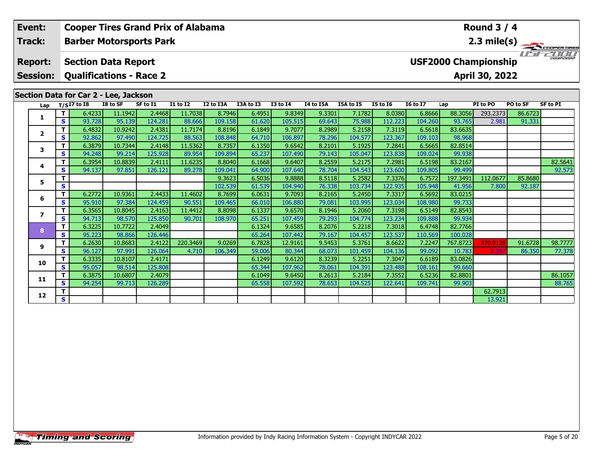| Event:                            |          | <b>Cooper Tires Grand Prix of Alabama</b>                    |          |                   |                 |                   |                  |                 |                  |                  |                   |                   |                             | Round $3/4$    |                   |                 |
|-----------------------------------|----------|--------------------------------------------------------------|----------|-------------------|-----------------|-------------------|------------------|-----------------|------------------|------------------|-------------------|-------------------|-----------------------------|----------------|-------------------|-----------------|
| Track:                            |          | <b>Barber Motorsports Park</b>                               |          |                   |                 |                   |                  |                 |                  |                  |                   |                   |                             |                |                   | 2.3 mile(s)     |
| <b>Report:</b><br><b>Session:</b> |          | <b>Section Data Report</b><br><b>Qualifications - Race 2</b> |          |                   |                 |                   |                  |                 |                  |                  |                   |                   | <b>USF2000 Championship</b> | April 30, 2022 | $H = H$           | CHAMPIONSHIP    |
|                                   |          | Section Data for Car 2 - Lee, Jackson                        |          |                   |                 |                   |                  |                 |                  |                  |                   |                   |                             |                |                   |                 |
|                                   |          |                                                              | I8 to SF | SF to I1          | <b>I1 to I2</b> | I2 to I3A         | I3A to I3        | <b>I3 to I4</b> | I4 to I5A        | I5A to I5        | <b>I5 to 16</b>   | <b>16 to 17</b>   | Lap                         | PI to PO       | PO to SF          | <b>SF to PI</b> |
| Lap                               |          | $T/SI7$ to $I8$                                              | 11.1942  |                   | 11.7038         |                   |                  | 9.8349          |                  |                  |                   |                   |                             | 293.2373       |                   |                 |
| 1.                                | T.<br>S. | 6.4233<br>93.728                                             | 95.139   | 2.4468<br>124.281 | 88.666          | 8.7946<br>109.158 | 6.4951<br>61.620 | 105.515         | 9.3301<br>69.643 | 7.1782<br>75.988 | 8.0380<br>112.223 | 6.8666<br>104.260 | 88.3056<br>93.765           | 2.981          | 86.6723<br>91.331 |                 |
|                                   | т        | 6.4832                                                       | 10.9242  | 2.4381            | 11.7174         | 8.8196            | 6.1849           | 9.7077          | 8.2989           | 5.2158           | 7.3119            | 6.5618            | 83.6635                     |                |                   |                 |
| $\mathbf{2}$                      | S.       | 92.862                                                       | 97.490   | 124.725           | 88.563          | 108.848           | 64.710           | 106.897         | 78.296           | 104.577          | 123.367           | 109.103           | 98.968                      |                |                   |                 |
|                                   | T.       | 6.3879                                                       | 10.7344  | 2.4148            | 11.5362         | 8.7357            | 6.1350           | 9.6542          | 8.2101           | 5.1925           | 7.2841            | 6.5665            | 82.8514                     |                |                   |                 |
| 3                                 | S.       | 94.248                                                       | 99.214   | 125.928           | 89.954          | 109.894           | 65.237           | 107.490         | 79.143           | 105.047          | 123.838           | 109.024           | 99.938                      |                |                   |                 |
|                                   | т        | 6.3954                                                       | 10.8839  | 2.4111            | 11.6235         | 8.8040            | 6.1668           | 9.6407          | 8.2559           | 5.2175           | 7.2981            | 6.5198            | 83.2167                     |                |                   | 82.5641         |
| 4                                 | S.       | 94.137                                                       | 97.851   | 126.121           | 89.278          | 109.041           | 64.900           | 107.640         | 78.704           | 104.543          | 123.600           | 109.805           | 99.499                      |                |                   | 92.573          |
|                                   | т        |                                                              |          |                   |                 | 9.3623            | 6.5036           | 9.8888          | 8.5118           | 5.2582           | 7.3376            | 6.7572            | 197.3491                    | 112.0677       | 85.8680           |                 |
| 5                                 | S        |                                                              |          |                   |                 | 102.539           | 61.539           | 104.940         | 76.338           | 103.734          | 122.935           | 105.948           | 41.956                      | 7.800          | 92.187            |                 |
| 6                                 | т        | 6.2772                                                       | 10.9361  | 2.4433            | 11.4602         | 8.7699            | 6.0631           | 9.7093          | 8.2165           | 5.2450           | 7.3317            | 6.5692            | 83.0215                     |                |                   |                 |
|                                   | S.       | 95.910                                                       | 97.384   | 124.459           | 90.551          | 109.465           | 66.010           | 106.880         | 79.081           | 103.995          | 123.034           | 108.980           | 99.733                      |                |                   |                 |
| 7                                 | T.       | 6.3565                                                       | 10.8045  | 2.4163            | 11.4412         | 8.8098            | 6.1337           | 9.6570          | 8.1946           | 5.2060           | 7.3198            | 6.5149            | 82.8543                     |                |                   |                 |
|                                   | S        | 94.713                                                       | 98.570   | 125.850           | 90.701          | 108.970           | 65.251           | 107.459         | 79.293           | 104.774          | 123.234           | 109.888           | 99.934                      |                |                   |                 |
| $\mathbf{8}$                      | T.       | 6.3225                                                       | 10.7722  | 2.4049            |                 |                   | 6.1324           | 9.6585          | 8.2076           | 5.2218           | 7.3018            | 6.4748            | 82.7766                     |                |                   |                 |
|                                   | S.       | 95.223                                                       | 98.866   | 126.446           |                 |                   | 65.264           | 107.442         | 79.167           | 104.457          | 123.537           | 110.569           | 100.028                     |                |                   |                 |
| 9                                 | T.       | 6.2630                                                       | 10.8683  | 2.4122            | 220.3469        | 9.0269            | 6.7828           | 12.9161         | 9.5453           | 5.3761           | 8.6622            | 7.2247            | 767.8723                    | 370.9128       | 91.6728           | 98.7777         |
|                                   | S        | 96.127                                                       | 97.991   | 126.064           | 4.710           | 106.349           | 59.006           | 80.344          | 68.073           | 101.459          | 104.136           | 99.092            | 10.783                      | 2.35           | 86.350            | 77.378          |
| 10                                | т        | 6.3335                                                       | 10.8107  | 2.4171            |                 |                   | 6.1249           | 9.6120          | 8.3239           | 5.2251           | 7.3047            | 6.6189            | 83.0826                     |                |                   |                 |
|                                   | S.       | 95.057                                                       | 98.514   | 125.808           |                 |                   | 65.344           | 107.962         | 78.061           | 104.391          | 123.488           | 108.161           | 99.660                      |                |                   |                 |

**12**

**<sup>T</sup>** 6.3875 10.6807 2.4079 6.1049 9.6450 8.2613 5.2184 7.3552 6.5236 82.8801 86.1057 **<sup>S</sup>** 94.254 99.713 126.289 65.558 107.592 78.653 104.525 122.641 109.741 99.903 88.765

**2 S** 1 **S** 13.921

88.765

99.660<br>82.8801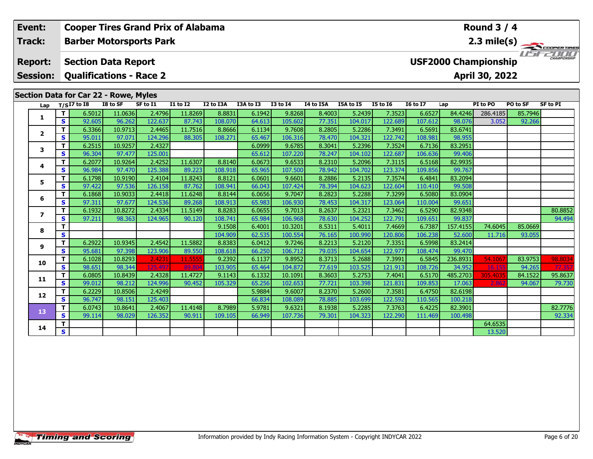| Event:                   |                                                                                                           | <b>Cooper Tires Grand Prix of Alabama</b>    |          |          |              |           |           |                 |                  |           |                 |                 |                             | Round $3/4$    |          |                     |
|--------------------------|-----------------------------------------------------------------------------------------------------------|----------------------------------------------|----------|----------|--------------|-----------|-----------|-----------------|------------------|-----------|-----------------|-----------------|-----------------------------|----------------|----------|---------------------|
| <b>Track:</b>            |                                                                                                           | <b>Barber Motorsports Park</b>               |          |          |              |           |           |                 |                  |           |                 |                 |                             |                |          | 2.3 mile(s)         |
| <b>Report:</b>           |                                                                                                           | <b>Section Data Report</b>                   |          |          |              |           |           |                 |                  |           |                 |                 | <b>USF2000 Championship</b> |                |          | <b>CHAMPIONSHIP</b> |
| <b>Session:</b>          |                                                                                                           | <b>Qualifications - Race 2</b>               |          |          |              |           |           |                 |                  |           |                 |                 |                             | April 30, 2022 |          |                     |
|                          |                                                                                                           | <b>Section Data for Car 22 - Rowe, Myles</b> |          |          |              |           |           |                 |                  |           |                 |                 |                             |                |          |                     |
| Lap                      |                                                                                                           | $T/SI7$ to 18                                | I8 to SF | SF to I1 | $I1$ to $I2$ | I2 to I3A | I3A to I3 | <b>I3 to I4</b> | <b>I4 to I5A</b> | I5A to I5 | <b>I5 to 16</b> | <b>I6 to I7</b> | Lap                         | PI to PO       | PO to SF | <b>SF to PI</b>     |
|                          | Т                                                                                                         | 6.5012                                       | 11.0636  | 2.4796   | 11.8269      | 8.8831    | 6.1942    | 9.8268          | 8.4003           | 5.2439    | 7.3523          | 6.6527          | 84.4246                     | 286.4185       | 85.7946  |                     |
| 1                        | $\overline{\mathbf{s}}$                                                                                   | 92.605                                       | 96.262   | 122.637  | 87.743       | 108.070   | 64.613    | 105.602         | 77.351           | 104.017   | 122.689         | 107.612         | 98.076                      | 3.052          | 92.266   |                     |
|                          | $\mathbf T$                                                                                               | 6.3366                                       | 10.9713  | 2.4465   | 11.7516      | 8.8666    | 6.1134    | 9.7608          | 8.2805           | 5.2286    | 7.3491          | 6.5691          | 83.6741                     |                |          |                     |
| $\mathbf{2}$             | S                                                                                                         | 95.011                                       | 97.071   | 124.296  | 88.305       | 108.271   | 65.467    | 106.316         | 78.470           | 104.321   | 122.742         | 108.981         | 98.955                      |                |          |                     |
| 3                        | $\mathbf T$                                                                                               | 6.2515                                       | 10.9257  | 2.4327   |              |           | 6.0999    | 9.6785          | 8.3041           | 5.2396    | 7.3524          | 6.7136          | 83.2951                     |                |          |                     |
|                          | $\mathbf{s}$                                                                                              | 96.304                                       | 97.477   | 125.001  |              |           | 65.612    | 107.220         | 78.247           | 104.102   | 122.687         | 106.636         | 99.406                      |                |          |                     |
| 4                        | T                                                                                                         | 6.2077                                       | 10.9264  | 2.4252   | 11.6307      | 8.8140    | 6.0673    | 9.6533          | 8.2310           | 5.2096    | 7.3115          | 6.5168          | 82.9935                     |                |          |                     |
|                          | $\mathbf{s}$                                                                                              | 96.984                                       | 97.470   | 125.388  | 89.223       | 108.918   | 65.965    | 107.500         | 78.942           | 104.702   | 123.374         | 109.856         | 99.767                      |                |          |                     |
| 5                        | T.                                                                                                        | 6.1798                                       | 10.9190  | 2.4104   | 11.8243      | 8.8121    | 6.0601    | 9.6601          | 8.2886           | 5.2135    | 7.3574          | 6.4841          | 83.2094                     |                |          |                     |
|                          | $\mathbf{s}$                                                                                              | 97.422                                       | 97.536   | 126.158  | 87.762       | 108.941   | 66.043    | 107.424         | 78.394           | 104.623   | 122.604         | 110.410         | 99.508                      |                |          |                     |
| 6                        | $\mathbf{T}$                                                                                              | 6.1868                                       | 10.9033  | 2.4418   | 11.6248      | 8.8144    | 6.0656    | 9.7047          | 8.2823           | 5.2288    | 7.3299          | 6.5080          | 83.0904                     |                |          |                     |
|                          | S                                                                                                         | 97.311                                       | 97.677   | 124.536  | 89.268       | 108.913   | 65.983    | 106.930         | 78.453           | 104.317   | 123.064         | 110.004         | 99.651                      |                |          |                     |
| $\overline{\phantom{a}}$ | $\mathbf T$                                                                                               | 6.1932                                       | 10.8272  | 2.4334   | 11.5149      | 8.8283    | 6.0655    | 9.7013          | 8.2637           | 5.2321    | 7.3462          | 6.5290          | 82.9348                     |                |          | 80.8852             |
|                          | $\mathbf{s}$                                                                                              | 97.211                                       | 98.363   | 124.965  | 90.120       | 108.741   | 65.984    | 106.968         | 78.630           | 104.252   | 122.791         | 109.651         | 99.837                      |                |          | 94.494              |
| 8                        | T                                                                                                         |                                              |          |          |              | 9.1508    | 6.4001    | 10.3201         | 8.5311           | 5.4011    | 7.4669          | 6.7387          | 157.4155                    | 74.6045        | 85.0669  |                     |
|                          | $\mathbf{s}$                                                                                              |                                              |          |          |              | 104.909   | 62.535    | 100.554         | 76.165           | 100.990   | 120.806         | 106.238         | 52.600                      | 11.716         | 93.055   |                     |
| 9                        | $\mathbf T$                                                                                               | 6.2922                                       | 10.9345  | 2.4542   | 11.5882      | 8.8383    | 6.0412    | 9.7246          | 8.2213           | 5.2120    | 7.3351          | 6.5998          | 83.2414                     |                |          |                     |
|                          | S                                                                                                         | 95.681                                       | 97.398   | 123.906  | 89.550       | 108.618   | 66.250    | 106.712         | 79.035           | 104.654   | 122.977         | 108.474         | 99.470                      |                |          |                     |
| 10                       | T                                                                                                         | 6.1028                                       | 10.8293  | 2.4231   | 11.555       | 9.2392    | 6.1137    | 9.8952          | 8.3713           | 5.2688    | 7.3991          | 6.5845          | 236.8931                    | 54.106         | 83.9753  | 98.8034             |
|                          | $\mathbf{s}$                                                                                              | 98.651                                       | 98.344   | 125.49   | 89.80        | 103.905   | 65.464    | 104.872         | 77.619           | 103.525   | 121.913         | 108.726         | 34.952                      | 16.15          | 94.265   | 77.35               |
| 11                       |                                                                                                           |                                              | 10.8439  | 2.4328   | 11.4727      | 9.1143    | 6.1332    | 10.1091         | 8.3603           | 5.2753    | 7.4041          | 6.5170          | 485.2703                    | 305.4035       | 84.1522  | 95.8637             |
|                          | $\mathbf{T}$<br>6.0805<br>$\mathbf{s}$<br>99.012<br>6.2229<br>T.<br>$\mathbf{s}$<br>96.747<br>6.0743<br>T | 98.212                                       | 124.996  | 90.452   | 105.329      | 65.256    | 102.653   | 77.721          | 103.398          | 121.831   | 109.853         | 17.063          | 2.86                        | 94.067         | 79.730   |                     |
| 12                       |                                                                                                           | 10.8506                                      | 2.4249   |          |              | 5.9884    | 9.6007    | 8.2370          | 5.2600           | 7.3581    | 6.4750          | 82.6198         |                             |                |          |                     |
|                          |                                                                                                           |                                              | 98.151   | 125.403  |              |           | 66.834    | 108.089         | 78.885           | 103.699   | 122.592         | 110.565         | 100.218                     |                |          |                     |
| 13                       |                                                                                                           |                                              | 10.8641  | 2.4067   | 11.4148      | 8.7989    | 5.9781    | 9.6321          | 8.1938           | 5.2285    | 7.3763          | 6.4225          | 82.3901                     |                |          | 82.7776             |
|                          | <b>S</b>                                                                                                  | 99.114                                       | 98.029   | 126.352  | 90.911       | 109.105   | 66.949    | 107.736         | 79.301           | 104.323   | 122.290         | 111.469         | 100.498                     |                |          | 92.334              |
| 14                       | Т                                                                                                         |                                              |          |          |              |           |           |                 |                  |           |                 |                 |                             | 64.6535        |          |                     |
|                          | S                                                                                                         |                                              |          |          |              |           |           |                 |                  |           |                 |                 |                             | 13.520         |          |                     |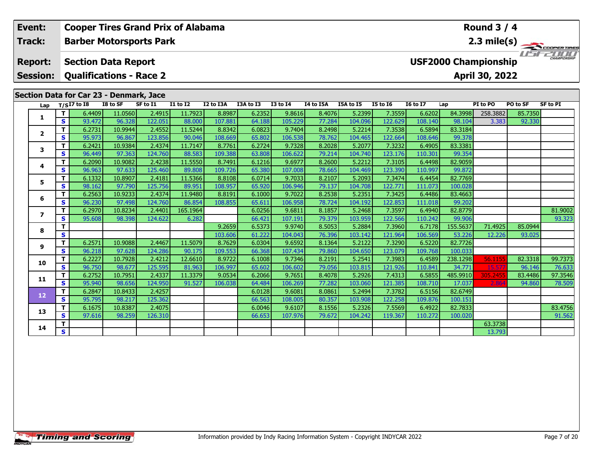|  | Event:                                   |                                                                                                                                                                                      | <b>Cooper Tires Grand Prix of Alabama</b> |                   |          |                                    |           |                  |                   |                  |                   |                   |                   |                    | <b>Round 3 / 4</b>          |                       |                 |
|--|------------------------------------------|--------------------------------------------------------------------------------------------------------------------------------------------------------------------------------------|-------------------------------------------|-------------------|----------|------------------------------------|-----------|------------------|-------------------|------------------|-------------------|-------------------|-------------------|--------------------|-----------------------------|-----------------------|-----------------|
|  | <b>Track:</b>                            | <b>Barber Motorsports Park</b><br><b>Section Data Report</b>                                                                                                                         |                                           |                   |          |                                    |           |                  |                   |                  |                   |                   |                   |                    |                             | $2.3 \text{ mile(s)}$ |                 |
|  | <b>Report:</b>                           | <b>Qualifications - Race 2</b><br>Section Data for Car 23 - Denmark, Jace<br>$T/SI7$ to I8<br>I8 to SF<br>11.0560<br>т<br>6.4409<br>S<br>93.472<br>96.328<br>10.9944<br>6.2731<br>T. |                                           |                   |          |                                    |           |                  |                   |                  |                   |                   |                   |                    | <b>USF2000 Championship</b> |                       |                 |
|  | <b>Session:</b>                          |                                                                                                                                                                                      |                                           |                   |          |                                    |           |                  |                   |                  |                   |                   |                   |                    | April 30, 2022              |                       |                 |
|  |                                          |                                                                                                                                                                                      |                                           |                   |          |                                    |           |                  |                   |                  |                   |                   |                   |                    |                             |                       |                 |
|  | Lap                                      |                                                                                                                                                                                      |                                           |                   | SF to I1 | $\overline{11}$ to $\overline{12}$ | I2 to I3A | I3A to I3        | <b>I3 to I4</b>   | I4 to I5A        | I5A to I5         | <b>I5 to 16</b>   | <b>I6 to I7</b>   | Lap                | PI to PO                    | PO to SF              | <b>SF to PI</b> |
|  |                                          |                                                                                                                                                                                      |                                           |                   | 2.4915   | 11.7923                            | 8.8987    | 6.2352           | 9.8616            | 8.4076           | 5.2399            | 7.3559            | 6.6202            | 84.3998            | 258.3882                    | 85.7350               |                 |
|  | 1                                        |                                                                                                                                                                                      |                                           |                   | 122.051  | 88.000                             | 107.881   | 64.188           | 105.229           | 77.284           | 104.096           | 122.629           | 108.140           | 98.104             | 3.383                       | 92.330                |                 |
|  |                                          |                                                                                                                                                                                      |                                           |                   | 2.4552   | 11.5244                            | 8.8342    | 6.0823           | 9.7404            | 8.2498           | 5.2214            | 7.3538            | 6.5894            | 83.3184            |                             |                       |                 |
|  | 2<br>3<br>4                              | S                                                                                                                                                                                    | 95.973                                    | 96.867            | 123.856  | 90.046                             | 108.669   | 65.802           | 106.538           | 78.762           | 104.465           | 122.664           | 108.646           | 99.378             |                             |                       |                 |
|  |                                          | T.                                                                                                                                                                                   | 6.2421                                    | 10.9384           | 2.4374   | 11.7147                            | 8.7761    | 6.2724           | 9.7328            | 8.2028           | 5.2077            | 7.3232            | 6.4905            | 83.3381            |                             |                       |                 |
|  |                                          | S                                                                                                                                                                                    | 96.449                                    | 97.363            | 124.760  | 88.583                             | 109.388   | 63.808           | 106.622           | 79.214           | 104.740           | 123.176           | 110.301           | 99.354             |                             |                       |                 |
|  |                                          | T.                                                                                                                                                                                   | 6.2090                                    | 10.9082           | 2.4238   | 11.5550                            | 8.7491    | 6.1216           | 9.6977            | 8.2600           | 5.2212            | 7.3105            | 6.4498            | 82.9059            |                             |                       |                 |
|  |                                          | S                                                                                                                                                                                    | 96.963                                    | 97.633            | 125.460  | 89.808                             | 109.726   | 65.380           | 107.008           | 78.665           | 104.469           | 123.390           | 110.997           | 99.872             |                             |                       |                 |
|  | 5                                        | T.                                                                                                                                                                                   | 6.1332                                    | 10.8907           | 2.4181   | 11.5366                            | 8.8108    | 6.0714           | 9.7033            | 8.2107           | 5.2093            | 7.3474            | 6.4454            | 82.7769            |                             |                       |                 |
|  |                                          | S                                                                                                                                                                                    | 98.162                                    | 97.790            | 125.756  | 89.951                             | 108.957   | 65.920           | 106.946           | 79.137           | 104.708           | 122.771           | 111.073           | 100.028            |                             |                       |                 |
|  | 6                                        | T.                                                                                                                                                                                   | 6.2563                                    | 10.9233           | 2.4374   | 11.9480                            | 8.8191    | 6.1000           | 9.7022            | 8.2538           | 5.2351            | 7.3425            | 6.4486            | 83.4663            |                             |                       |                 |
|  |                                          | S                                                                                                                                                                                    | 96.230                                    | 97.498            | 124.760  | 86.854                             | 108.855   | 65.611           | 106.958           | 78.724           | 104.192           | 122.853           | 111.018           | 99.202             |                             |                       |                 |
|  | $\overline{ }$                           | т                                                                                                                                                                                    | 6.2970                                    | 10.8234           | 2.4401   | 165.1964                           |           | 6.0256           | 9.6811            | 8.1857           | 5.2468            | 7.3597            | 6.4940            | 82.8779            |                             |                       | 81.9002         |
|  |                                          | S                                                                                                                                                                                    | 95.608                                    | 98.398            | 124.622  | 6.282                              |           | 66.421           | 107.191           | 79.379           | 103.959           | 122.566           | 110.242           | 99.906             |                             |                       | 93.323          |
|  | 8                                        | т                                                                                                                                                                                    |                                           |                   |          |                                    | 9.2659    | 6.5373           | 9.9740            | 8.5053           | 5.2884            | 7.3960            | 6.7178            | 155.5637           | 71.4925                     | 85.0944               |                 |
|  |                                          | $\mathbf{s}$                                                                                                                                                                         |                                           |                   |          |                                    | 103.606   | 61.222           | 104.043           | 76.396           | 103.142           | 121.964           | 106.569           | 53.226             | 12.226                      | 93.025                |                 |
|  | 9                                        | т                                                                                                                                                                                    | 6.2571                                    | 10.9088           | 2.4467   | 11.5079                            | 8.7629    | 6.0304           | 9.6592            | 8.1364           | 5.2122            | 7.3290            | 6.5220            | 82.7726            |                             |                       |                 |
|  |                                          | S                                                                                                                                                                                    | 96.218                                    | 97.628            | 124.286  | 90.175                             | 109.553   | 66.368           | 107.434           | 79.860           | 104.650           | 123.079           | 109.768           | 100.033            |                             |                       |                 |
|  | 10                                       |                                                                                                                                                                                      | 6.2227                                    | 10.7928           | 2.4212   | 12.6610                            | 8.9722    | 6.1008           | 9.7346            | 8.2191           | 5.2541            | 7.3983            | 6.4589            | 238.1298           | 56.1155                     | 82.3318               | 99.7373         |
|  | т<br>S<br>T<br>11<br>$\mathbf{s}$        |                                                                                                                                                                                      | 96.750                                    | 98.677            | 125.595  | 81.963                             | 106.997   | 65.602           | 106.602           | 79.056           | 103.815           | 121.926           | 110.841           | 34.771             | 15.57                       | 96.146                | 76.633          |
|  |                                          | 6.2752                                                                                                                                                                               | 10.7951                                   | 2.4337            | 11.3379  | 9.0534                             | 6.2066    | 9.7651           | 8.4078            | 5.2926           | 7.4313            | 6.5855            | 485.9910          | 305.2455           | 83.4486                     | 97.3546               |                 |
|  |                                          |                                                                                                                                                                                      | 95.940                                    | 98.656            | 124.950  | 91.527                             | 106.038   | 64.484           | 106.269<br>9.6081 | 77.282<br>8.0861 | 103.060           | 121.385<br>7.3782 | 108.710           | 17.037<br>82.6749  | 2.86                        | 94.860                | 78.509          |
|  | 6.2847<br>T.<br>12<br>95.795<br><b>S</b> |                                                                                                                                                                                      | 10.8433<br>98.217                         | 2.4257<br>125.362 |          |                                    | 6.0128    |                  | 80.357            | 5.2494           |                   | 6.5156            |                   |                    |                             |                       |                 |
|  |                                          | T.                                                                                                                                                                                   | 6.1675                                    | 10.8387           | 2.4075   |                                    |           | 66.563<br>6.0046 | 108.005<br>9.6107 | 8.1556           | 103.908<br>5.2326 | 122.258<br>7.5569 | 109.876<br>6.4922 | 100.151<br>82.7833 |                             |                       | 83.4756         |
|  | 13                                       | S                                                                                                                                                                                    | 97.616                                    | 98.259            | 126.310  |                                    |           | 66.653           | 107.976           | 79.672           | 104.242           | 119.367           | 110.272           | 100.020            |                             |                       | 91.562          |
|  |                                          | т                                                                                                                                                                                    |                                           |                   |          |                                    |           |                  |                   |                  |                   |                   |                   |                    | 63.3738                     |                       |                 |
|  | 14                                       | <b>S</b>                                                                                                                                                                             |                                           |                   |          |                                    |           |                  |                   |                  |                   |                   |                   |                    | 13.793                      |                       |                 |
|  |                                          |                                                                                                                                                                                      |                                           |                   |          |                                    |           |                  |                   |                  |                   |                   |                   |                    |                             |                       |                 |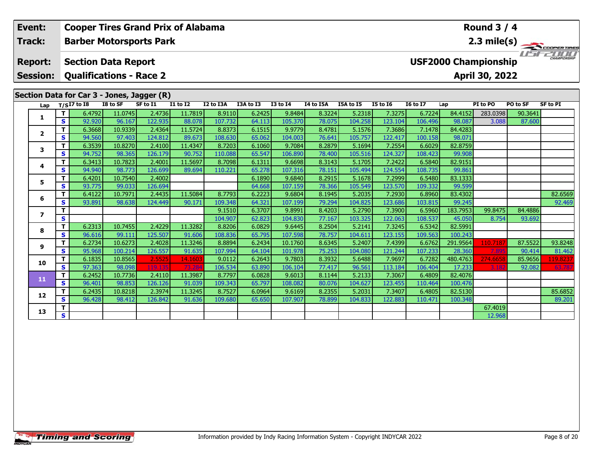| Event:          |                              | <b>Cooper Tires Grand Prix of Alabama</b><br>Round $3/4$ |                    |                   |                   |                   |                  |                    |                  |                   |                   |                   |                    |                             |          |                                                           |
|-----------------|------------------------------|----------------------------------------------------------|--------------------|-------------------|-------------------|-------------------|------------------|--------------------|------------------|-------------------|-------------------|-------------------|--------------------|-----------------------------|----------|-----------------------------------------------------------|
| <b>Track:</b>   |                              | <b>Barber Motorsports Park</b>                           |                    |                   |                   |                   |                  |                    |                  |                   |                   |                   |                    |                             |          | $\frac{2.3 \text{ mile(s)}}{1.51 - 2.00 \text{ rad/s}^2}$ |
| <b>Report:</b>  |                              | <b>Section Data Report</b>                               |                    |                   |                   |                   |                  |                    |                  |                   |                   |                   |                    | <b>USF2000 Championship</b> |          |                                                           |
| <b>Session:</b> |                              | <b>Qualifications - Race 2</b>                           |                    |                   |                   |                   |                  |                    |                  |                   |                   |                   |                    | April 30, 2022              |          |                                                           |
|                 |                              | Section Data for Car 3 - Jones, Jagger (R)               |                    |                   |                   |                   |                  |                    |                  |                   |                   |                   |                    |                             |          |                                                           |
| Lap             |                              | $T/SI7$ to I8                                            | I8 to SF           | SF to I1          | <b>I1 to I2</b>   | I2 to I3A         | I3A to I3        | <b>I3 to I4</b>    | I4 to I5A        | I5A to I5         | <b>I5 to 16</b>   | <b>I6 to I7</b>   | Lap                | PI to PO                    | PO to SF | <b>SF to PI</b>                                           |
|                 | T                            | 6.4792                                                   | 11.0745            | 2.4736            | 11.7819           | 8.9110            | 6.2425           | 9.8484             | 8.3224           | 5.2318            | 7.3275            | 6.7224            | 84.4152            | 283.0398                    | 90.3641  |                                                           |
| 1               | S                            | 92.920                                                   | 96.167             | 122.935           | 88.078            | 107.732           | 64.113           | 105.370            | 78.075           | 104.258           | 123.104           | 106.496           | 98.087             | 3.088                       | 87.600   |                                                           |
|                 | Т                            | 6.3668                                                   | 10.9339            | 2.4364            | 11.5724           | 8.8373            | 6.1515           | 9.9779             | 8.4781           | 5.1576            | 7.3686            | 7.1478            | 84.4283            |                             |          |                                                           |
| $\mathbf{2}$    | $\mathbf{s}$                 | 94.560                                                   | 97.403             | 124.812           | 89.673            | 108.630           | 65.062           | 104.003            | 76.641           | 105.757           | 122.417           | 100.158           | 98.071             |                             |          |                                                           |
| 3               | T                            | 6.3539                                                   | 10.8270            | 2.4100            | 11.4347           | 8.7203            | 6.1060           | 9.7084             | 8.2879           | 5.1694            | 7.2554            | 6.6029            | 82.8759            |                             |          |                                                           |
|                 | $\mathbf{s}$                 | 94.752                                                   | 98.365             | 126.179           | 90.752            | 110.088           | 65.547           | 106.890            | 78.400           | 105.516           | 124.327           | 108.423           | 99.908             |                             |          |                                                           |
| 4               | T                            | 6.3413                                                   | 10.7823            | 2.4001            | 11.5697           | 8.7098            | 6.1311           | 9.6698             | 8.3143           | 5.1705            | 7.2422            | 6.5840            | 82.9151            |                             |          |                                                           |
|                 | S                            | 94.940                                                   | 98.773             | 126.699           | 89.694            | 110.221           | 65.278           | 107.316            | 78.151           | 105.494           | 124.554           | 108.735           | 99.861             |                             |          |                                                           |
| 5               | $\mathbf T$                  | 6.4201                                                   | 10.7540            | 2.4002            |                   |                   | 6.1890           | 9.6840             | 8.2915           | 5.1678            | 7.2999            | 6.5480            | 83.1333            |                             |          |                                                           |
|                 | <b>S</b>                     | 93.775                                                   | 99.033             | 126.694           |                   |                   | 64.668           | 107.159            | 78.366           | 105.549           | 123.570           | 109.332           | 99.599             |                             |          |                                                           |
| 6               | $\mathbf T$                  | 6.4122                                                   | 10.7971            | 2.4435            | 11.5084           | 8.7793            | 6.2223           | 9.6804             | 8.1945           | 5.2035            | 7.2930            | 6.8960            | 83.4302            |                             |          | 82.6569                                                   |
|                 | S                            | 93.891                                                   | 98.638             | 124.449           | 90.171            | 109.348           | 64.321           | 107.199            | 79.294           | 104.825           | 123.686           | 103.815           | 99.245             |                             |          | 92.469                                                    |
| 7               | Т                            |                                                          |                    |                   |                   | 9.1510            | 6.3707           | 9.8991             | 8.4203           | 5.2790            | 7.3900            | 6.5960            | 183.7953           | 99.8475                     | 84.4886  |                                                           |
|                 | $\mathbf{s}$                 |                                                          |                    |                   |                   | 104.907           | 62.823           | 104.830            | 77.167           | 103.325           | 122.063           | 108.537           | 45.050             | 8.754                       | 93.692   |                                                           |
| 8               | T                            | 6.2313                                                   | 10.7455            | 2.4229            | 11.3282           | 8.8206            | 6.0829           | 9.6445             | 8.2504           | 5.2141            | 7.3245            | 6.5342            | 82.5991            |                             |          |                                                           |
|                 | $\mathbf{s}$                 | 96.616                                                   | 99.111             | 125.507           | 91.606<br>11.3246 | 108.836           | 65.795           | 107.598            | 78.757           | 104.611           | 123.155           | 109.563           | 100.243            |                             | 87.5522  |                                                           |
| 9               | $\mathbf{T}$<br>$\mathbf{s}$ | 6.2734<br>95.968                                         | 10.6273<br>100.214 | 2.4028<br>126.557 | 91.635            | 8.8894<br>107.994 | 6.2434           | 10.1760<br>101.978 | 8.6345<br>75.253 | 5.2407<br>104.080 | 7.4399<br>121.244 | 6.6762<br>107.233 | 291.9564<br>28.360 | 110.718<br>7.89             | 90.414   | 93.8248                                                   |
|                 | Т                            | 6.1835                                                   | 10.8565            | 2.5525            | 14.160            | 9.0112            | 64.104<br>6.2643 | 9.7803             | 8.3932           | 5.6488            | 7.9697            | 6.7282            | 480.4763           | 274.6658                    | 85.9656  | 81.462<br>119.8237                                        |
| 10              | $\mathbf{s}$                 | 97.363                                                   | 98.098             | 119.13            | 73.28             | 106.534           | 63.890           | 106.104            | 77.417           | 96.561            | 113.184           | 106.404           | 17.233             | 3.18                        | 92.082   | 63.787                                                    |
|                 | $\mathbf{T}$                 | 6.2452                                                   | 10.7736            | 2.4110            | 11.3987           | 8.7797            | 6.0828           | 9.6013             | 8.1144           | 5.2133            | 7.3067            | 6.4809            | 82.4076            |                             |          |                                                           |
| 11              | $\mathbf{s}$                 | 96.401                                                   | 98.853             | 126.126           | 91.039            | 109.343           | 65.797           | 108.082            | 80.076           | 104.627           | 123.455           | 110.464           | 100.476            |                             |          |                                                           |
|                 | т                            | 6.2435                                                   | 10.8218            | 2.3974            | 11.3245           | 8.7527            | 6.0964           | 9.6169             | 8.2355           | 5.2031            | 7.3407            | 6.4805            | 82.5130            |                             |          | 85.6852                                                   |
| 12              | $\mathbf{s}$                 | 96.428                                                   | 98.412             | 126.842           | 91.636            | 109.680           | 65.650           | 107.907            | 78.899           | 104.833           | 122.883           | 110.471           | 100.348            |                             |          | 89.201                                                    |
|                 | т                            |                                                          |                    |                   |                   |                   |                  |                    |                  |                   |                   |                   |                    | 67.4019                     |          |                                                           |
| 13              | <b>S</b>                     |                                                          |                    |                   |                   |                   |                  |                    |                  |                   |                   |                   |                    | 12.968                      |          |                                                           |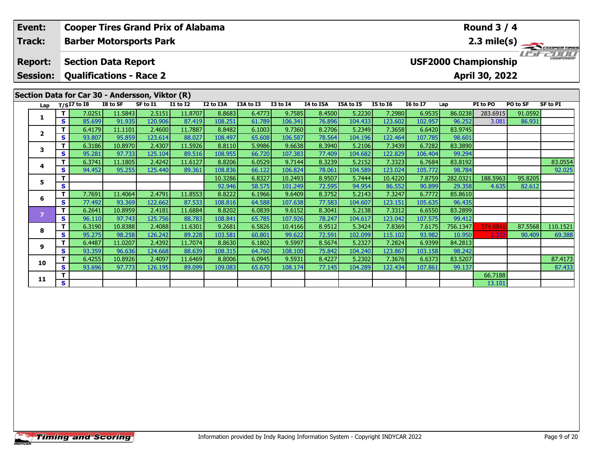| Event:                            |          | <b>Cooper Tires Grand Prix of Alabama</b>                    |          |          |                 |           |           |                 |           |           |                 |                 |                             | Round $3/4$       |          |                                       |
|-----------------------------------|----------|--------------------------------------------------------------|----------|----------|-----------------|-----------|-----------|-----------------|-----------|-----------|-----------------|-----------------|-----------------------------|-------------------|----------|---------------------------------------|
| Track:                            |          | <b>Barber Motorsports Park</b>                               |          |          |                 |           |           |                 |           |           |                 |                 |                             |                   |          | $\overbrace{ }^{2.3 \text{ mile(s)}}$ |
| <b>Report:</b><br><b>Session:</b> |          | <b>Section Data Report</b><br><b>Qualifications - Race 2</b> |          |          |                 |           |           |                 |           |           |                 |                 | <b>USF2000 Championship</b> | April 30, 2022    |          | CHAMPIONSHIP                          |
|                                   |          | Section Data for Car 30 - Andersson, Viktor (R)              |          |          |                 |           |           |                 |           |           |                 |                 |                             |                   |          |                                       |
| Lap                               |          | $T/SI7$ to $I8$                                              | I8 to SF | SF to I1 | <b>I1 to I2</b> | I2 to I3A | I3A to I3 | <b>I3 to I4</b> | I4 to I5A | I5A to I5 | <b>I5 to 16</b> | <b>16 to 17</b> | Lap                         | PI to PO          | PO to SF | <b>SF to PI</b>                       |
|                                   | T        | 7.0251                                                       | 11.5843  | 2.5151   | 11.8707         | 8.8683    | 6.4773    | 9.7585          | 8.4500    | 5.2230    | 7.2980          | 6.9535          | 86.0238                     | 283.6915          | 91.0592  |                                       |
| 1                                 | S.       | 85.699                                                       | 91.935   | 120.906  | 87.419          | 108.251   | 61.789    | 106.341         | 76.896    | 104.433   | 123.602         | 102.957         | 96.252                      | 3.081             | 86.931   |                                       |
|                                   | T.       | 6.4179                                                       | 11.1101  | 2.4600   | 11.7887         | 8.8482    | 6.1003    | 9.7360          | 8.2706    | 5.2349    | 7.3658          | 6.6420          | 83.9745                     |                   |          |                                       |
| $\overline{2}$                    | S        | 93.807                                                       | 95.859   | 123.614  | 88.027          | 108.497   | 65.608    | 106.587         | 78.564    | 104.196   | 122.464         | 107.785         | 98.601                      |                   |          |                                       |
| 3                                 | T.       | 6.3186                                                       | 10.8970  | 2.4307   | 11.5926         | 8.8110    | 5.9986    | 9.6638          | 8.3940    | 5.2106    | 7.3439          | 6.7282          | 83.3890                     |                   |          |                                       |
|                                   | S        | 95.281                                                       | 97.733   | 125.104  | 89.516          | 108.955   | 66.720    | 107.383         | 77.409    | 104.682   | 122.829         | 106.404         | 99.294                      |                   |          |                                       |
| 4                                 | T.       | 6.3741                                                       | 11.1805  | 2.4242   | 11.6127         | 8.8206    | 6.0529    | 9.7144          | 8.3239    | 5.2152    | 7.3323          | 6.7684          | 83.8192                     |                   |          | 83.0554                               |
|                                   | S        | 94.452                                                       | 95.255   | 125.440  | 89.361          | 108.836   | 66.122    | 106.824         | 78.061    | 104.589   | 123.024         | 105.772         | 98.784                      |                   |          | 92.025                                |
| 5                                 | T.       |                                                              |          |          |                 | 10.3286   | 6.8327    | 10.2493         | 8.9507    | 5.7444    | 10.4220         | 7.8759          | 282.0321                    | 188.5963          | 95.8205  |                                       |
|                                   | S        |                                                              |          |          |                 | 92.946    | 58.575    | 101.249         | 72.595    | 94.954    | 86.552          | 90.899          | 29.358                      | 4.635             | 82.612   |                                       |
| 6                                 | T        | 7.7691                                                       | 11.4064  | 2.4791   | 11.8553         | 8.8222    | 6.1966    | 9.6409          | 8.3752    | 5.2143    | 7.3247          | 6.7772          | 85.8610                     |                   |          |                                       |
|                                   | S        | 77.492                                                       | 93.369   | 122.662  | 87.533          | 108.816   | 64.588    | 107.638         | 77.583    | 104.607   | 123.151         | 105.635         | 96.435                      |                   |          |                                       |
| $\overline{7}$                    | T.       | 6.2641                                                       | 10.8959  | 2.4181   | 11.6884         | 8.8202    | 6.0839    | 9.6152          | 8.3041    | 5.2138    | 7.3312          | 6.6550          | 83.2899                     |                   |          |                                       |
|                                   | <b>S</b> | 96.110                                                       | 97.743   | 125.756  | 88.783          | 108.841   | 65.785    | 107.926         | 78.247    | 104.617   | 123.042         | 107.575         | 99.412                      |                   |          |                                       |
| 8                                 | T.       | 6.3190                                                       | 10.8388  | 2.4088   | 11.6301         | 9.2681    | 6.5826    | 10.4166         | 8.9512    | 5.3424    | 7.8369          | 7.6175          | 756.1347                    | 374.884           | 87.5568  | 110.1521                              |
|                                   | <b>S</b> | 95.275                                                       | 98.258   | 126.242  | 89.228          | 103.581   | 60.801    | 99.622          | 72.591    | 102.099   | 115.102         | 93.982          | 10.950                      | 2.33 <sub>i</sub> | 90.409   | 69.388                                |
| 9                                 | T.       | 6.4487                                                       | 11.0207  | 2.4392   | 11.7074         | 8.8630    | 6.1802    | 9.5997          | 8.5674    | 5.2327    | 7.2824          | 6.9399          | 84.2813                     |                   |          |                                       |
|                                   | S        | 93.359                                                       | 96.636   | 124.668  | 88.639          | 108.315   | 64.760    | 108.100         | 75.842    | 104.240   | 123.867         | 103.158         | 98.242                      |                   |          |                                       |
| 10                                |          | 6.4255                                                       | 10.8926  | 2.4097   | 11.6469         | 8.8006    | 6.0945    | 9.5931          | 8.4227    | 5.2302    | 7.3676          | 6.6373          | 83.5207                     |                   |          | 87.4173                               |
|                                   | S.       | 93.696                                                       | 97.773   | 126.195  | 89.099          | 109.083   | 65.670    | 108.174         | 77.145    | 104.289   | 122.434         | 107.861         | 99.137                      |                   |          | 87.433                                |

**T S** 1 **S** 13.101

**11**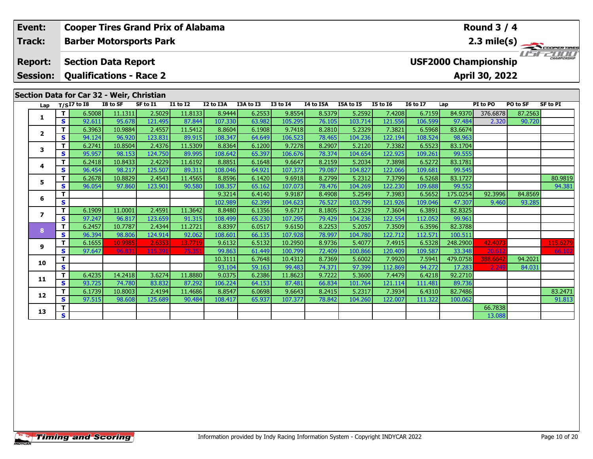| Event:<br><b>Cooper Tires Grand Prix of Alabama</b> |              |               |                                           |                                |                                    |           |           |                 |           |           |                 |                 | <b>Round 3 / 4</b> |                             |          |                       |
|-----------------------------------------------------|--------------|---------------|-------------------------------------------|--------------------------------|------------------------------------|-----------|-----------|-----------------|-----------|-----------|-----------------|-----------------|--------------------|-----------------------------|----------|-----------------------|
| Track:                                              |              |               |                                           | <b>Barber Motorsports Park</b> |                                    |           |           |                 |           |           |                 |                 |                    |                             |          | $2.3 \text{ mile(s)}$ |
| <b>Report:</b>                                      |              |               | <b>Section Data Report</b>                |                                |                                    |           |           |                 |           |           |                 |                 |                    | <b>USF2000 Championship</b> |          | CHAMPIONSHIP          |
| <b>Session:</b>                                     |              |               |                                           | <b>Qualifications - Race 2</b> |                                    |           |           |                 |           |           |                 |                 |                    | April 30, 2022              |          |                       |
|                                                     |              |               |                                           |                                |                                    |           |           |                 |           |           |                 |                 |                    |                             |          |                       |
|                                                     |              |               | Section Data for Car 32 - Weir, Christian |                                |                                    |           |           |                 |           |           |                 |                 |                    |                             |          |                       |
| Lap                                                 |              | $T/SI7$ to I8 | I8 to SF                                  | SF to I1                       | $\overline{11}$ to $\overline{12}$ | I2 to I3A | I3A to I3 | <b>I3 to I4</b> | I4 to I5A | I5A to I5 | <b>I5 to 16</b> | <b>I6 to I7</b> | Lap                | PI to PO                    | PO to SF | <b>SF to PI</b>       |
| 1                                                   | T            | 6.5008        | 11.1311                                   | 2.5029                         | 11.8133                            | 8.9444    | 6.2553    | 9.8554          | 8.5379    | 5.2592    | 7.4208          | 6.7159          | 84.9370            | 376.6878                    | 87.2563  |                       |
|                                                     | $\mathbf{s}$ | 92.611        | 95.678                                    | 121.495                        | 87.844                             | 107.330   | 63.982    | 105.295         | 76.105    | 103.714   | 121.556         | 106.599         | 97.484             | 2.320                       | 90.720   |                       |
| $\mathbf{2}$                                        | T            | 6.3963        | 10.9884                                   | 2.4557                         | 11.5412                            | 8.8604    | 6.1908    | 9.7418          | 8.2810    | 5.2329    | 7.3821          | 6.5968          | 83.6674            |                             |          |                       |
|                                                     | S            | 94.124        | 96.920                                    | 123.831                        | 89.915                             | 108.347   | 64.649    | 106.523         | 78.465    | 104.236   | 122.194         | 108.524         | 98.963             |                             |          |                       |
| 3                                                   | $\mathbf{T}$ | 6.2741        | 10.8504                                   | 2.4376                         | 11.5309                            | 8.8364    | 6.1200    | 9.7278          | 8.2907    | 5.2120    | 7.3382          | 6.5523          | 83.1704            |                             |          |                       |
|                                                     | S            | 95.957        | 98.153                                    | 124.750                        | 89.995                             | 108.642   | 65.397    | 106.676         | 78.374    | 104.654   | 122.925         | 109.261         | 99.555             |                             |          |                       |
| 4                                                   | T            | 6.2418        | 10.8433                                   | 2.4229                         | 11.6192                            | 8.8851    | 6.1648    | 9.6647          | 8.2159    | 5.2034    | 7.3898          | 6.5272          | 83.1781            |                             |          |                       |
|                                                     | S            | 96.454        | 98.217                                    | 125.507                        | 89.311                             | 108.046   | 64.921    | 107.373         | 79.087    | 104.827   | 122.066         | 109.681         | 99.545             |                             |          |                       |
| 5.                                                  | T            | 6.2678        | 10.8829                                   | 2.4543                         | 11.4565                            | 8.8596    | 6.1420    | 9.6918          | 8.2799    | 5.2312    | 7.3799          | 6.5268          | 83.1727            |                             |          | 80.9819               |
|                                                     | S            | 96.054        | 97.860                                    | 123.901                        | 90.580                             | 108.357   | 65.162    | 107.073         | 78.476    | 104.269   | 122.230         | 109.688         | 99.552             |                             |          | 94.381                |
| 6                                                   | т            |               |                                           |                                |                                    | 9.3214    | 6.4140    | 9.9187          | 8.4908    | 5.2549    | 7.3983          | 6.5652          | 175.0254           | 92.3996                     | 84.8569  |                       |
|                                                     | S            |               |                                           |                                |                                    | 102.989   | 62.399    | 104.623         | 76.527    | 103.799   | 121.926         | 109.046         | 47.307             | 9.460                       | 93.285   |                       |
| 7                                                   | т            | 6.1909        | 11.0001                                   | 2.4591                         | 11.3642                            | 8.8480    | 6.1356    | 9.6717          | 8.1805    | 5.2329    | 7.3604          | 6.3891          | 82.8325            |                             |          |                       |
|                                                     | $\mathbf{s}$ | 97.247        | 96.817                                    | 123.659                        | 91.315                             | 108.499   | 65.230    | 107.295         | 79.429    | 104.236   | 122.554         | 112.052         | 99.961             |                             |          |                       |
| 8                                                   | т            | 6.2457        | 10.7787                                   | 2.4344                         | 11.2721                            | 8.8397    | 6.0517    | 9.6150          | 8.2253    | 5.2057    | 7.3509          | 6.3596          | 82.3788            |                             |          |                       |
|                                                     | $\mathbf{s}$ | 96.394        | 98.806                                    | 124.914                        | 92.062                             | 108.601   | 66.135    | 107.928         | 78.997    | 104.780   | 122.712         | 112.571         | 100.511            |                             |          |                       |
| 9                                                   | $\mathbf{T}$ | 6.1655        | 10.9985                                   | 2.6353                         | 13.7719                            | 9.6132    | 6.5132    | 10.2950         | 8.9736    | 5.4077    | 7.4915          | 6.5328          | 248.2900           | 42.4073                     |          | 115.6279              |
|                                                     | S            | 97.647        | 96.83                                     | 115.39                         | 75.35                              | 99.863    | 61.449    | 100.799         | 72.409    | 100.866   | 120.409         | 109.587         | 33.348             | 20.617                      |          | 66.102                |
| 10                                                  | т            |               |                                           |                                |                                    | 10.3111   | 6.7648    | 10.4312         | 8.7369    | 5.6002    | 7.9920          | 7.5941          | 479.0758           | 388.6642                    | 94.2021  |                       |
|                                                     | S            |               |                                           |                                |                                    | 93.104    | 59.163    | 99.483          | 74.371    | 97.399    | 112.869         | 94.272          | 17.283             | 2.249                       | 84.031   |                       |
| 11                                                  | т            | 6.4235        | 14.2418                                   | 3.6274                         | 11.8880                            | 9.0375    | 6.2386    | 11.8623         | 9.7222    | 5.3600    | 7.4479          | 6.4218          | 92,2710            |                             |          |                       |
|                                                     | $\mathbf{s}$ | 93.725        | 74.780                                    | 83.832                         | 87.292                             | 106.224   | 64.153    | 87.481          | 66.834    | 101.764   | 121.114         | 111.481         | 89.736             |                             |          |                       |
| 12                                                  | т            | 6.1739        | 10.8003                                   | 2.4194                         | 11.4686                            | 8.8547    | 6.0698    | 9.6643          | 8.2415    | 5.2317    | 7.3934          | 6.4310          | 82.7486            |                             |          | 83.2471               |
|                                                     | $\mathbf{s}$ | 97.515        | 98.608                                    | 125.689                        | 90.484                             | 108.417   | 65.937    | 107.377         | 78.842    | 104.260   | 122.007         | 111.322         | 100.062            |                             |          | 91.813                |

**T S** 13.088 **S** 13.088

**13**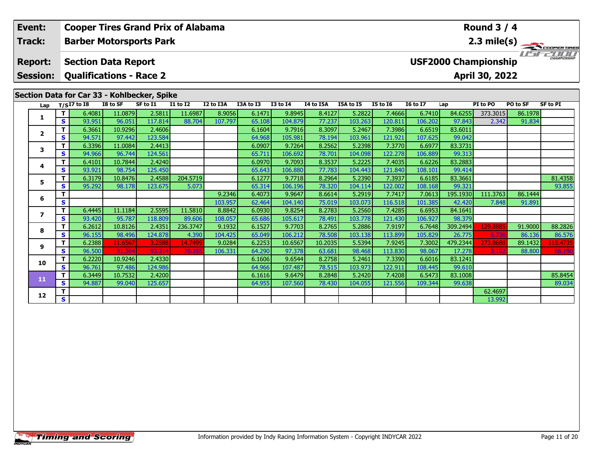| Event:                            |              |                                                              |                   |                   | <b>Cooper Tires Grand Prix of Alabama</b> |                   |                  |                    |                   |                   |                   |                   |                             | Round $3/4$     |                   |                       |
|-----------------------------------|--------------|--------------------------------------------------------------|-------------------|-------------------|-------------------------------------------|-------------------|------------------|--------------------|-------------------|-------------------|-------------------|-------------------|-----------------------------|-----------------|-------------------|-----------------------|
| Track:                            |              | <b>Barber Motorsports Park</b>                               |                   |                   |                                           |                   |                  |                    |                   |                   |                   |                   |                             |                 |                   | $2.3 \text{ mile(s)}$ |
| <b>Report:</b><br><b>Session:</b> |              | <b>Section Data Report</b><br><b>Qualifications - Race 2</b> |                   |                   |                                           |                   |                  |                    |                   |                   |                   |                   | <b>USF2000 Championship</b> | April 30, 2022  |                   | CHAMPIONSHIP          |
|                                   |              |                                                              |                   |                   |                                           |                   |                  |                    |                   |                   |                   |                   |                             |                 |                   |                       |
|                                   |              | Section Data for Car 33 - Kohlbecker, Spike                  |                   |                   |                                           |                   |                  |                    |                   |                   |                   |                   |                             |                 |                   |                       |
| Lap                               |              | $T/SI7$ to $I8$                                              | I8 to SF          | SF to I1          | <b>I1 to I2</b>                           | I2 to I3A         | I3A to I3        | <b>I3 to I4</b>    | I4 to I5A         | I5A to I5         | <b>I5 to 16</b>   | <b>16 to 17</b>   | Lap                         | PI to PO        | PO to SF          | <b>SF to PI</b>       |
|                                   | T.           | 6.4081                                                       | 11.0879           | 2.5811            | 11.6987                                   | 8.9056            | 6.1471           | 9.8945             | 8.4127            | 5.2822            | 7.4666            | 6.7410            | 84.6255                     | 373.3015        | 86.1978           |                       |
| 1                                 | S.           | 93.951                                                       | 96.051            | 117.814           | 88.704                                    | 107.797           | 65.108           | 104.879            | 77.237            | 103.263           | 120.811           | 106.202           | 97.843                      | 2.342           | 91.834            |                       |
| $\mathbf{2}$                      | T.           | 6.3661                                                       | 10.9296           | 2.4606            |                                           |                   | 6.1604           | 9.7916             | 8.3097            | 5.2467            | 7.3986            | 6.6519            | 83.6011                     |                 |                   |                       |
|                                   | S            | 94.571                                                       | 97.442            | 123.584           |                                           |                   | 64.968           | 105.981            | 78.194            | 103.961           | 121.921           | 107.625           | 99.042                      |                 |                   |                       |
| 3                                 | T.           | 6.3396                                                       | 11.0084           | 2.4413            |                                           |                   | 6.0907           | 9.7264             | 8.2562            | 5.2398            | 7.3770            | 6.6977            | 83.3731                     |                 |                   |                       |
|                                   | <b>S</b>     | 94.966                                                       | 96.744            | 124.561           |                                           |                   | 65.711           | 106.692            | 78.701            | 104.098           | 122.278           | 106.889           | 99.313                      |                 |                   |                       |
| 4                                 | T.           | 6.4101                                                       | 10.7844           | 2.4240            |                                           |                   | 6.0970           | 9.7093             | 8.3537            | 5.2225            | 7.4035            | 6.6226            | 83.2883                     |                 |                   |                       |
|                                   | S            | 93.921                                                       | 98.754            | 125.450           |                                           |                   | 65.643           | 106.880            | 77.783            | 104.443           | 121.840           | 108.101           | 99.414                      |                 |                   |                       |
| 5.                                | T.           | 6.3179                                                       | 10.8476           | 2.4588            | 204.5719                                  |                   | 6.1277           | 9.7718             | 8.2964            | 5.2390            | 7.3937            | 6.6185            | 83.3661                     |                 |                   | 81.4358               |
|                                   | S.           | 95.292                                                       | 98.178            | 123.675           | 5.073                                     |                   | 65.314           | 106.196            | 78.320            | 104.114           | 122.002           | 108.168           | 99.321                      |                 |                   | 93.855                |
| 6                                 | T            |                                                              |                   |                   |                                           | 9.2346            | 6.4073           | 9.9647             | 8.6614            | 5.2919            | 7.7417            | 7.0613            | 195.1930                    | 111.3763        | 86.1444           |                       |
|                                   | S            |                                                              |                   |                   |                                           | 103.957           | 62.464           | 104.140            | 75.019            | 103.073           | 116.518           | 101.385           | 42.420                      | 7.848           | 91.891            |                       |
| $\overline{ }$                    | T.           | 6.4445                                                       | 11.1184           | 2.5595            | 11.5810                                   | 8.8842            | 6.0930           | 9.8254             | 8.2783            | 5.2560            | 7.4285            | 6.6953            | 84.1641                     |                 |                   |                       |
|                                   | <b>S</b>     | 93.420                                                       | 95.787            | 118.809           | 89.606                                    | 108.057           | 65.686           | 105.617            | 78.491            | 103.778           | 121.430           | 106.927           | 98.379                      |                 |                   |                       |
| 8                                 | T.           | 6.2612                                                       | 10.8126           | 2.4351<br>124.878 | 236.3747                                  | 9.1932            | 6.1527           | 9.7703             | 8.2765            | 5.2886            | 7.9197            | 6.7648            | 309.2494                    | 129.888         | 91.9000           | 88.2826               |
|                                   | S<br>T.      | 96.155<br>6.2388                                             | 98.496<br>11.6567 | 3.2588            | 4.390<br>14.7499                          | 104.425<br>9.0284 | 65.049<br>6.2253 | 106.212<br>10.6567 | 78.508<br>10.2035 | 103.138<br>5.5394 | 113.899<br>7.9245 | 105.829<br>7.3002 | 26.775<br>479.2344          | 6.73<br>273.868 | 86.136<br>89.1432 | 86.576                |
| 9                                 | <b>S</b>     | 96.500                                                       | 91.364            | 93.314            | 70.355                                    | 106.331           | 64.290           | 97.378             | 63.681            | 98.468            | 113.830           | 98.067            | 17.278                      | 3.192           | 88.800            | 115.4735<br>66.190    |
|                                   | T.           | 6.2220                                                       | 10.9246           | 2.4330            |                                           |                   | 6.1606           | 9.6544             | 8.2758            | 5.2461            | 7.3390            | 6.6016            | 83.1241                     |                 |                   |                       |
| 10                                | S.           | 96.761                                                       | 97.486            | 124.986           |                                           |                   | 64.966           | 107.487            | 78.515            | 103.973           | 122.911           | 108.445           | 99.610                      |                 |                   |                       |
| <b>ALCOHOL:</b>                   | $\mathbf{T}$ | 6.3449                                                       | 10.7532           | 2.4200            |                                           |                   | 6.1616           | 9.6479             | 8.2848            | 5.2420            | 7.4208            | 6.5473            | 83.1008                     |                 |                   | 85.8454               |

**12**

**<sup>T</sup>** 6.3449 10.7532 2.4200 6.1616 9.6479 8.2848 5.2420 7.4208 6.5473 83.1008 85.8454 **<sup>S</sup>** 94.887 99.040 125.657 64.955 107.560 78.430 104.055 121.556 109.344 99.638 89.034

**d T S** 1 **S** 1 **S** 13.992

89.034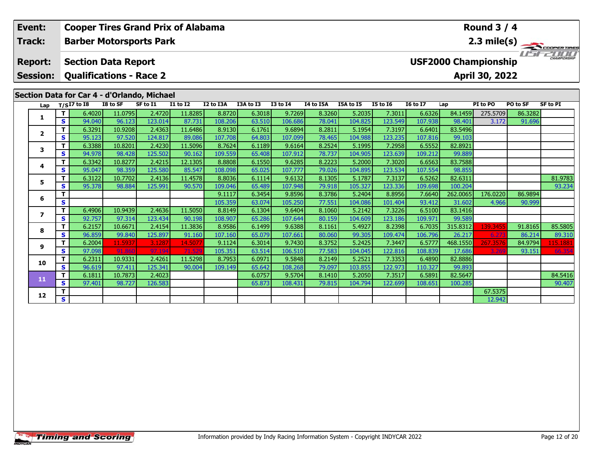| Event:          |          | <b>Cooper Tires Grand Prix of Alabama</b>   |                   |          |                   |                   |                  |                   |                  |                   |                   |                   |                | Round $3/4$                 |                   |                       |
|-----------------|----------|---------------------------------------------|-------------------|----------|-------------------|-------------------|------------------|-------------------|------------------|-------------------|-------------------|-------------------|----------------|-----------------------------|-------------------|-----------------------|
| Track:          |          | <b>Barber Motorsports Park</b>              |                   |          |                   |                   |                  |                   |                  |                   |                   |                   |                |                             |                   | $2.3 \text{ mile(s)}$ |
| <b>Report:</b>  |          | <b>Section Data Report</b>                  |                   |          |                   |                   |                  |                   |                  |                   |                   |                   |                | <b>USF2000 Championship</b> |                   | CHAMPIONSHIP          |
| <b>Session:</b> |          | <b>Qualifications - Race 2</b>              |                   |          |                   |                   |                  |                   |                  |                   |                   |                   |                | April 30, 2022              |                   |                       |
|                 |          | Section Data for Car 4 - d'Orlando, Michael | I8 to SF          | SF to I1 | <b>I1 to I2</b>   |                   |                  |                   | I4 to I5A        |                   | <b>I5 to 16</b>   |                   |                |                             |                   |                       |
| Lap             | T.       | $T/SI7$ to $I8$                             |                   | 2.4720   |                   | I2 to I3A         | I3A to I3        | <b>I3 to I4</b>   |                  | I5A to I5         |                   | <b>I6 to I7</b>   | Lap<br>84.1459 | PI to PO                    | PO to SF          | <b>SF to PI</b>       |
| 1               | S.       | 6.4020<br>94.040                            | 11.0795<br>96.123 | 123.014  | 11.8285<br>87.731 | 8.8720<br>108.206 | 6.3018<br>63.510 | 9.7269<br>106.686 | 8.3260<br>78.041 | 5.2035<br>104.825 | 7.3011<br>123.549 | 6.6326<br>107.938 | 98.401         | 275.5709<br>3.172           | 86.3282<br>91.696 |                       |
|                 | т        | 6.3291                                      | 10.9208           | 2.4363   | 11.6486           | 8.9130            | 6.1761           | 9.6894            | 8.2811           | 5.1954            | 7.3197            | 6.6401            | 83.5496        |                             |                   |                       |
| $\mathbf{2}$    | <b>S</b> | 95.123                                      | 97.520            | 124.817  | 89.086            | 107.708           | 64.803           | 107.099           | 78.465           | 104.988           | 123.235           | 107.816           | 99.103         |                             |                   |                       |
|                 | T.       | 6.3388                                      | 10.8201           | 2.4230   | 11.5096           | 8.7624            | 6.1189           | 9.6164            | 8.2524           | 5.1995            | 7.2958            | 6.5552            | 82.8921        |                             |                   |                       |
| 3               | <b>S</b> | 94.978                                      | 98.428            | 125.502  | 90.162            | 109.559           | 65.408           | 107.912           | 78.737           | 104.905           | 123.639           | 109.212           | 99.889         |                             |                   |                       |
|                 | T.       | 6.3342                                      | 10.8277           | 2.4215   | 12.1305           | 8.8808            | 6.1550           | 9.6285            | 8.2223           | 5.2000            | 7.3020            | 6.6563            | 83.7588        |                             |                   |                       |
| 4               | S.       | 95.047                                      | 98.359            | 125.580  | 85.547            | 108.098           | 65.025           | 107.777           | 79.026           | 104.895           | 123.534           | 107.554           | 98.855         |                             |                   |                       |
| 5               | т        | 6.3122                                      | 10.7702           | 2.4136   | 11.4578           | 8.8036            | 6.1114           | 9.6132            | 8.1305           | 5.1787            | 7.3137            | 6.5262            | 82.6311        |                             |                   | 81.9783               |
|                 | <b>S</b> | 95.378                                      | 98.884            | 125.991  | 90.570            | 109.046           | 65.489           | 107.948           | 79.918           | 105.327           | 123.336           | 109.698           | 100.204        |                             |                   | 93.234                |
| 6               | т        |                                             |                   |          |                   | 9.1117            | 6.3454           | 9.8596            | 8.3786           | 5.2404            | 8.8956            | 7.6640            | 262.0065       | 176.0220                    | 86.9894           |                       |
|                 | S        |                                             |                   |          |                   | 105.359           | 63.074           | 105.250           | 77.551           | 104.086           | 101.404           | 93.412            | 31.602         | 4.966                       | 90.999            |                       |
| $\overline{ }$  | T.       | 6.4906                                      | 10.9439           | 2.4636   | 11.5050           | 8.8149            | 6.1304           | 9.6404            | 8.1060           | 5.2142            | 7.3226            | 6.5100            | 83.1416        |                             |                   |                       |
|                 | <b>S</b> | 92.757                                      | 97.314            | 123.434  | 90.198            | 108.907           | 65.286           | 107.644           | 80.159           | 104.609           | 123.186           | 109.971           | 99.589         |                             |                   |                       |
| 8               | T.       | 6.2157                                      | 10.6671           | 2.4154   | 11.3836           | 8.9586            | 6.1499           | 9.6388            | 8.1161           | 5.4927            | 8.2398            | 6.7035            | 315.8312       | 139.3455                    | 91.8165           | 85.5805               |
|                 | <b>S</b> | 96.859                                      | 99.840            | 125.897  | 91.160            | 107.160           | 65.079           | 107.661           | 80.060           | 99.305            | 109.474           | 106.796           | 26.217         | 6.27                        | 86.214            | 89.310                |
| 9               | т        | 6.2004                                      | 11.5937           | 3.1287   | 14.507            | 9.1124            | 6.3014           | 9.7430            | 8.3752           | 5.2425            | 7.3447            | 6.5777            | 468.1550       | 267.357                     | 84.9794           | 115.1881              |
|                 | S.       | 97.098                                      | 91.860            | 97.194   | 71.529            | 105.351           | 63.514           | 106.510           | 77.583           | 104.045           | 122.816           | 108.839           | 17.686         | 3.269                       | 93.151            | 66.354                |
| 10              | T.       | 6.2311                                      | 10.9331           | 2.4261   | 11.5298           | 8.7953            | 6.0971           | 9.5848            | 8.2149           | 5.2521            | 7.3353            | 6.4890            | 82.8886        |                             |                   |                       |
|                 | S.       | 96.619                                      | 97.411            | 125.341  | 90.004            | 109.149           | 65.642           | 108.268           | 79.097           | 103.855           | 122.973           | 110.327           | 99.893         |                             |                   |                       |
| 11              | т        | 6.1811                                      | 10.7873           | 2.4023   |                   |                   | 6.0757           | 9.5704            | 8.1410           | 5.2050            | 7.3517            | 6.5891            | 82.5647        |                             |                   | 84.5416               |
|                 | S.       | 97.401                                      | 98.727            | 126.583  |                   |                   | 65.873           | 108.431           | 79.815           | 104.794           | 122.699           | 108.651           | 100.285        |                             |                   | 90.407                |

**2 S** 1 **S** 12.942

**12**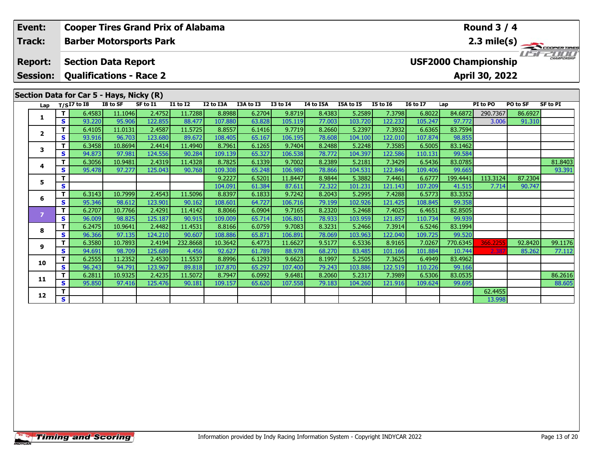| Event:                            |        | <b>Cooper Tires Grand Prix of Alabama</b>                    |                   |                   |                   |                                               |                  |                     |                  |                   |                   |                   |                   | <b>Round 3 / 4</b> |          |                 |
|-----------------------------------|--------|--------------------------------------------------------------|-------------------|-------------------|-------------------|-----------------------------------------------|------------------|---------------------|------------------|-------------------|-------------------|-------------------|-------------------|--------------------|----------|-----------------|
| Track:                            |        | <b>Barber Motorsports Park</b>                               |                   |                   |                   |                                               |                  |                     |                  |                   |                   |                   |                   |                    |          | 2.3 mile(s)     |
| <b>Report:</b><br><b>Session:</b> |        | <b>Section Data Report</b><br><b>Qualifications - Race 2</b> |                   |                   |                   | <b>USF2000 Championship</b><br>April 30, 2022 | I I T            | <b>CHAMPIONSHIP</b> |                  |                   |                   |                   |                   |                    |          |                 |
|                                   |        | Section Data for Car 5 - Hays, Nicky (R)                     |                   |                   |                   |                                               |                  |                     |                  |                   |                   |                   |                   |                    |          |                 |
| Lap                               |        | $T/SI7$ to I8                                                | I8 to SF          | SF to I1          | <b>I1 to I2</b>   | I2 to I3A                                     | I3A to I3        | <b>I3 to I4</b>     | I4 to I5A        | I5A to I5         | <b>I5 to 16</b>   | <b>I6 to I7</b>   | Lap               | PI to PO           | PO to SF | <b>SF to PI</b> |
| 1                                 | т      | 6.4583                                                       | 11.1046           | 2.4752            | 11.7288           | 8.8988                                        | 6.2704           | 9.8719              | 8.4383           | 5.2589            | 7.3798            | 6.8022            | 84.6872           | 290.7367           | 86.6927  |                 |
|                                   | S.     | 93.220                                                       | 95.906            | 122.855           | 88.477            | 107.880                                       | 63.828           | 105.119             | 77.003           | 103.720           | 122.232           | 105.247           | 97.772            | 3.006              | 91.310   |                 |
| 2                                 | т      | 6.4105                                                       | 11.0131           | 2.4587            | 11.5725           | 8.8557                                        | 6.1416           | 9.7719              | 8.2660           | 5.2397            | 7.3932            | 6.6365            | 83.7594           |                    |          |                 |
|                                   | S.     | 93.916                                                       | 96.703            | 123.680           | 89.672            | 108.405                                       | 65.167           | 106.195             | 78.608           | 104.100           | 122.010           | 107.874           | 98.855            |                    |          |                 |
| 3                                 | т      | 6.3458                                                       | 10.8694           | 2.4414            | 11.4940           | 8.7961                                        | 6.1265           | 9.7404              | 8.2488           | 5.2248            | 7.3585            | 6.5005            | 83.1462           |                    |          |                 |
|                                   | S<br>т | 94.873<br>6.3056                                             | 97.981<br>10.9481 | 124.556<br>2.4319 | 90.284<br>11.4328 | 109.139<br>8.7825                             | 65.327<br>6.1339 | 106.538<br>9.7002   | 78.772<br>8.2389 | 104.397<br>5.2181 | 122.586<br>7.3429 | 110.131<br>6.5436 | 99.584<br>83.0785 |                    |          | 81.8403         |
| 4                                 | s      | 95.478                                                       | 97.277            | 125.043           | 90.768            | 109.308                                       | 65.248           | 106.980             | 78.866           | 104.531           | 122.846           | 109.406           | 99.665            |                    |          | 93.391          |
|                                   | т      |                                                              |                   |                   |                   | 9.2227                                        | 6.5201           | 11.8447             | 8.9844           | 5.3882            | 7.4461            | 6.6777            | 199.4441          | 113.3124           | 87.2304  |                 |
| 5                                 | S      |                                                              |                   |                   |                   | 104.091                                       | 61.384           | 87.611              | 72.322           | 101.231           | 121.143           | 107.209           | 41.515            | 7.714              | 90.747   |                 |
|                                   | т      | 6.3143                                                       | 10.7999           | 2.4543            | 11.5096           | 8.8397                                        | 6.1833           | 9.7242              | 8.2043           | 5.2995            | 7.4288            | 6.5773            | 83.3352           |                    |          |                 |
| 6                                 | S      | 95.346                                                       | 98.612            | 123.901           | 90.162            | 108.601                                       | 64.727           | 106.716             | 79.199           | 102.926           | 121.425           | 108.845           | 99.358            |                    |          |                 |
|                                   | T      | 6.2707                                                       | 10.7766           | 2.4291            | 11.4142           | 8.8066                                        | 6.0904           | 9.7165              | 8.2320           | 5.2468            | 7.4025            | 6.4651            | 82.8505           |                    |          |                 |
| $\overline{ }$                    | S.     | 96.009                                                       | 98.825            | 125.187           | 90.915            | 109.009                                       | 65.714           | 106.801             | 78.933           | 103.959           | 121.857           | 110.734           | 99.939            |                    |          |                 |
| 8                                 | т      | 6.2475                                                       | 10.9641           | 2.4482            | 11.4531           | 8.8166                                        | 6.0759           | 9.7083              | 8.3231           | 5.2466            | 7.3914            | 6.5246            | 83.1994           |                    |          |                 |
|                                   | S      | 96.366                                                       | 97.135            | 124.210           | 90.607            | 108.886                                       | 65.871           | 106.891             | 78.069           | 103.963           | 122.040           | 109.725           | 99.520            |                    |          |                 |
| 9                                 | т      | 6.3580                                                       | 10.7893           | 2.4194            | 232.8668          | 10.3642                                       | 6.4773           | 11.6627             | 9.5177           | 6.5336            | 8.9165            | 7.0267            | 770.6345          | 366.2255           | 92.8420  | 99.1176         |
|                                   | S      | 94.691                                                       | 98.709            | 125.689           | 4.456             | 92.627                                        | 61.789           | 88.978              | 68.270           | 83.485            | 101.166           | 101.884           | 10.744            | 2.38               | 85.262   | 77.112          |
| 10                                | т      | 6.2555                                                       | 11.2352           | 2.4530            | 11.5537           | 8.8996                                        | 6.1293           | 9.6623              | 8.1997           | 5.2505            | 7.3625            | 6.4949            | 83.4962           |                    |          |                 |
|                                   | S      | 96.243                                                       | 94.791            | 123.967           | 89.818            | 107.870                                       | 65.297           | 107.400             | 79.243           | 103.886           | 122.519           | 110.226           | 99.166            |                    |          |                 |
| 11                                | т<br>s | 6.2811                                                       | 10.9325           | 2.4235            | 11.5072           | 8.7947                                        | 6.0992           | 9.6481              | 8.2060           | 5.2317            | 7.3989            | 6.5306            | 83.0535           |                    |          | 86.2616         |
|                                   |        | 95.850                                                       | 97.416            | 125.476           | 90.181            | 109.157                                       | 65.620           | 107.558             | 79.183           | 104.260           | 121.916           | 109.624           | 99.695            | 62.4455            |          | 88.605          |
| 12                                | S.     |                                                              |                   |                   |                   |                                               |                  |                     |                  |                   |                   |                   |                   | 13.998             |          |                 |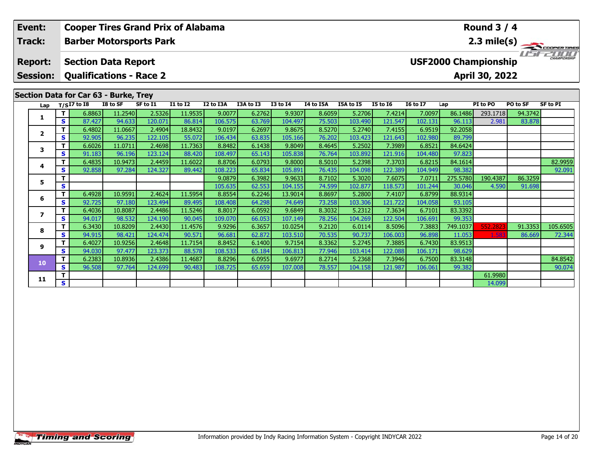|  | Event:                            |          | <b>Cooper Tires Grand Prix of Alabama</b>                    |                   |                   |                                    |                  |                  | <b>Round 3 / 4</b> |                  |                  |                                                                        |                  |                   |          |          |                 |  |  |  |  |
|--|-----------------------------------|----------|--------------------------------------------------------------|-------------------|-------------------|------------------------------------|------------------|------------------|--------------------|------------------|------------------|------------------------------------------------------------------------|------------------|-------------------|----------|----------|-----------------|--|--|--|--|
|  | Track:                            |          | <b>Barber Motorsports Park</b>                               |                   |                   |                                    |                  |                  |                    |                  |                  |                                                                        |                  |                   |          |          |                 |  |  |  |  |
|  | <b>Report:</b><br><b>Session:</b> |          | <b>Section Data Report</b><br><b>Qualifications - Race 2</b> |                   |                   |                                    |                  |                  |                    |                  |                  | $2.3 \text{ mile(s)}$<br><b>USF2000 Championship</b><br>April 30, 2022 |                  |                   |          |          |                 |  |  |  |  |
|  |                                   |          | Section Data for Car 63 - Burke, Trey                        |                   |                   |                                    |                  |                  |                    |                  |                  |                                                                        |                  |                   |          |          |                 |  |  |  |  |
|  | Lap                               |          | $T/SI\overline{7}$ to I8                                     | I8 to SF          | SF to I1          | $\overline{11}$ to $\overline{12}$ | I2 to I3A        | I3A to I3        | <b>I3 to I4</b>    | I4 to I5A        | I5A to I5        | <b>I5 to 16</b>                                                        | <b>I6 to I7</b>  | Lap               | PI to PO | PO to SF | <b>SF to PI</b> |  |  |  |  |
|  | 1                                 | T.       | 6.8863                                                       | 11.2540           | 2.5326            | 11.9535                            | 9.0077           | 6.2762           | 9.9307             | 8.6059           | 5.2706           | 7.4214                                                                 | 7.0097           | 86.1486           | 293.1718 | 94.3742  |                 |  |  |  |  |
|  |                                   | <b>S</b> | 87.427                                                       | 94.633            | 120.071           | 86.814                             | 106.575          | 63.769           | 104.497            | 75.503           | 103.490          | 121.547                                                                | 102.131          | 96.113            | 2.981    | 83.878   |                 |  |  |  |  |
|  |                                   | т        | 6.4802                                                       | 11.0667           | 2.4904            | 18.8432                            | 9.0197           | 6.2697           | 9.8675             | 8.5270           | 5.2740           | 7.4155                                                                 | 6.9519           | 92.2058           |          |          |                 |  |  |  |  |
|  | $\mathbf{2}$<br>3                 | S.       | 92.905                                                       | 96.235            | 122.105           | 55.072                             | 106.434          | 63.835           | 105.166            | 76.202           | 103.423          | 121.643                                                                | 102.980          | 89.799            |          |          |                 |  |  |  |  |
|  |                                   | т        | 6.6026                                                       | 11.0711           | 2.4698            | 11.7363                            | 8.8482           | 6.1438           | 9.8049             | 8.4645           | 5.2502           | 7.3989                                                                 | 6.8521           | 84.6424           |          |          |                 |  |  |  |  |
|  |                                   | <b>S</b> | 91.183                                                       | 96.196            | 123.124           | 88.420                             | 108.497          | 65.143           | 105.838            | 76.764           | 103.892          | 121.916                                                                | 104.480          | 97.823            |          |          |                 |  |  |  |  |
|  | 4                                 |          | 6.4835                                                       | 10.9473           | 2.4459            | 11.6022                            | 8.8706           | 6.0793           | 9.8000             | 8.5010           | 5.2398           | 7.3703                                                                 | 6.8215           | 84.1614           |          |          | 82.9959         |  |  |  |  |
|  |                                   | S.       | 92.858                                                       | 97.284            | 124.327           | 89.442                             | 108.223          | 65.834           | 105.891            | 76.435           | 104.098          | 122.389                                                                | 104.949          | 98.382            |          |          | 92.091          |  |  |  |  |
|  | 5                                 |          |                                                              |                   |                   |                                    | 9.0879           | 6.3982           | 9.9633             | 8.7102           | 5.3020           | 7.6075                                                                 | 7.0711           | 275.5780          | 190.4387 | 86.3259  |                 |  |  |  |  |
|  |                                   | S        |                                                              |                   |                   |                                    | 105.635          | 62.553           | 104.155            | 74.599           | 102.877          | 118.573                                                                | 101.244          | 30.046            | 4.590    | 91.698   |                 |  |  |  |  |
|  | 6                                 |          | 6.4928                                                       | 10.9591           | 2.4624            | 11.5954                            | 8.8554           | 6.2246           | 13.9014            | 8.8697           | 5.2800           | 7.4107                                                                 | 6.8799           | 88.9314           |          |          |                 |  |  |  |  |
|  |                                   | S.       | 92.725                                                       | 97.180            | 123.494           | 89.495                             | 108.408          | 64.298           | 74.649             | 73.258           | 103.306          | 121.722                                                                | 104.058          | 93.105            |          |          |                 |  |  |  |  |
|  | $\overline{ }$<br>8               | т        | 6.4036                                                       | 10.8087           | 2.4486            | 11.5246                            | 8.8017           | 6.0592           | 9.6849             | 8.3032           | 5.2312           | 7.3634                                                                 | 6.7101           | 83.3392           |          |          |                 |  |  |  |  |
|  |                                   | <b>S</b> | 94.017                                                       | 98.532            | 124.190           | 90.045                             | 109.070          | 66.053           | 107.149            | 78.256           | 104.269          | 122.504                                                                | 106.691          | 99.353            |          |          |                 |  |  |  |  |
|  |                                   | <b>S</b> | 6.3430                                                       | 10.8209           | 2.4430            | 11.4576<br>90.571                  | 9.9296           | 6.3657           | 10.0254            | 9.2120<br>70.535 | 6.0114           | 8.5096                                                                 | 7.3883           | 749.1037          | 552.282  | 91.3353  | 105.6505        |  |  |  |  |
|  |                                   | т        | 94.915<br>6.4027                                             | 98.421<br>10.9256 | 124.474<br>2.4648 | 11.7154                            | 96.681<br>8.8452 | 62.872<br>6.1400 | 103.510<br>9.7154  | 8.3362           | 90.737<br>5.2745 | 106.003<br>7.3885                                                      | 96.898<br>6.7430 | 11.053<br>83.9513 | 1.583    | 86.669   | 72.344          |  |  |  |  |
|  | 9                                 | S.       | 94.030                                                       | 97.477            | 123.373           | 88.578                             | 108.533          | 65.184           | 106.813            | 77.946           | 103.414          | 122.088                                                                | 106.171          | 98.629            |          |          |                 |  |  |  |  |
|  |                                   |          | 6.2383                                                       | 10.8936           | 2.4386            | 11.4687                            | 8.8296           | 6.0955           | 9.6977             | 8.2714           | 5.2368           | 7.3946                                                                 | 6.7500           | 83.3148           |          |          | 84.8542         |  |  |  |  |
|  | 10                                | S.       | 96.508                                                       | 97.764            | 124.699           | 90.483                             | 108.725          | 65.659           | 107.008            | 78.557           | 104.158          | 121.987                                                                | 106.061          | 99.382            |          |          | 90.074          |  |  |  |  |

**<sup>T</sup>** 61.9980 **<sup>S</sup>** 14.099

**11**

90.074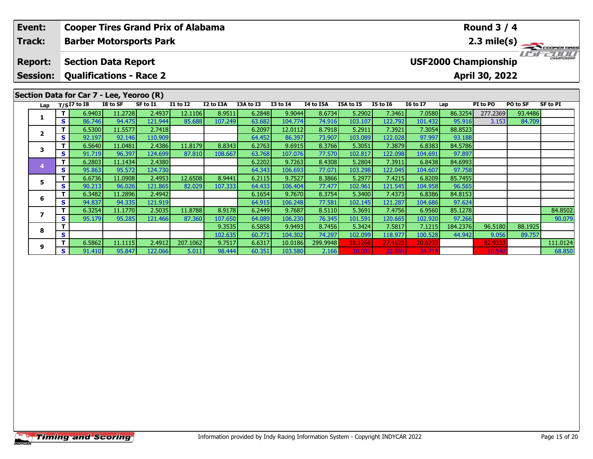|  | Event:          |    | <b>Cooper Tires Grand Prix of Alabama</b> |                   |                   |                 |           | <b>Round 3 / 4</b> |                   |                  |                   |                   |                   |                   |                             |          |                    |  |  |  |
|--|-----------------|----|-------------------------------------------|-------------------|-------------------|-----------------|-----------|--------------------|-------------------|------------------|-------------------|-------------------|-------------------|-------------------|-----------------------------|----------|--------------------|--|--|--|
|  | Track:          |    | <b>Barber Motorsports Park</b>            |                   |                   |                 |           |                    |                   |                  |                   |                   | 2.3 mile(s)       |                   |                             |          |                    |  |  |  |
|  | <b>Report:</b>  |    | <b>Section Data Report</b>                |                   |                   |                 |           |                    |                   |                  |                   |                   |                   |                   | <b>USF2000 Championship</b> |          | <b>HAMPIONSHIP</b> |  |  |  |
|  | <b>Session:</b> |    | <b>Qualifications - Race 2</b>            |                   |                   |                 |           |                    |                   |                  |                   |                   |                   |                   | April 30, 2022              |          |                    |  |  |  |
|  |                 |    | Section Data for Car 7 - Lee, Yeoroo (R)  |                   |                   |                 |           |                    |                   |                  |                   |                   |                   |                   |                             |          |                    |  |  |  |
|  | Lap             |    | $T/SI7$ to I8                             | I8 to SF          | SF to I1          | <b>I1 to I2</b> | I2 to I3A | I3A to I3          | <b>I3 to I4</b>   | I4 to I5A        | I5A to I5         | <b>I5 to 16</b>   | <b>16 to 17</b>   | Lap               | PI to PO                    | PO to SF | <b>SF to PI</b>    |  |  |  |
|  | 1               |    | 6.9403                                    | 11.2728           | 2.4937            | 12.1106         | 8.9511    | 6.2848             | 9.9044            | 8.6734           | 5.2902            | 7.3461            | 7.0580            | 86.3254           | 277.2369                    | 93.4486  |                    |  |  |  |
|  |                 | s  | 86.746                                    | 94.475            | 121.944           | 85.688          | 107.249   | 63.682             | 104.774           | 74.916           | 103.107           | 122.792           | 101.432           | 95.916            | 3.153                       | 84.709   |                    |  |  |  |
|  | $\overline{2}$  |    | 6.5300                                    | 11.5577           | 2.7418            |                 |           | 6.2097             | 12.0112           | 8.7918           | 5.2911            | 7.3921            | 7.3054            | 88.8523           |                             |          |                    |  |  |  |
|  |                 | s  | 92.197                                    | 92.146            | 110.909           |                 |           | 64.452             | 86.397            | 73.907           | 103.089           | 122.028           | 97.997            | 93.188            |                             |          |                    |  |  |  |
|  | 3               |    | 6.5640                                    | 11.0481           | 2.4386            | 11.8179         | 8.8343    | 6.2763             | 9.6915            | 8.3766           | 5.3051            | 7.3879            | 6.8383            | 84.5786           |                             |          |                    |  |  |  |
|  |                 | S. | 91.719                                    | 96.397            | 124.699           | 87.810          | 108.667   | 63.768             | 107.076           | 77.570           | 102.817           | 122.098           | 104.691           | 97.897            |                             |          |                    |  |  |  |
|  | $\overline{4}$  | T. | 6.2803                                    | 11.1434           | 2.4380            |                 |           | 6.2202             | 9.7263            | 8.4308           | 5.2804            | 7.3911            | 6.8438            | 84.6993           |                             |          |                    |  |  |  |
|  | 5               | S. | 95.863                                    | 95.572            | 124.730           |                 |           | 64.343             | 106.693           | 77.071           | 103.298           | 122.045           | 104.607           | 97.758            |                             |          |                    |  |  |  |
|  |                 |    | 6.6736                                    | 11.0908           | 2.4953            | 12.6508         | 8.9441    | 6.2115             | 9.7527            | 8.3866           | 5.2977            | 7.4215            | 6.8209            | 85.7455           |                             |          |                    |  |  |  |
|  |                 | S  | 90.213                                    | 96.026            | 121.865           | 82.029          | 107.333   | 64.433             | 106.404           | 77.477           | 102.961           | 121.545           | 104.958           | 96.565            |                             |          |                    |  |  |  |
|  | 6               | S. | 6.3482                                    | 11.2896           | 2.4942            |                 |           | 6.1654             | 9.7670            | 8.3754           | 5.3400            | 7.4373            | 6.8386            | 84.8153           |                             |          |                    |  |  |  |
|  |                 | т  | 94.837<br>6.3254                          | 94.335<br>11.1770 | 121.919<br>2.5035 | 11.8788         | 8.9178    | 64.915             | 106.248           | 77.581<br>8.5110 | 102.145<br>5.3691 | 121.287<br>7.4756 | 104.686           | 97.624            |                             |          | 84.8502            |  |  |  |
|  | $\overline{ }$  | S  | 95.179                                    |                   | 121.466           | 87.360          | 107.650   | 6.2449             | 9.7687            | 76.345           |                   | 120.665           | 6.9560<br>102.920 | 85.1278<br>97.266 |                             |          | 90.079             |  |  |  |
|  |                 |    |                                           | 95.285            |                   |                 | 9.3535    | 64.089<br>6.5858   | 106.230<br>9.9493 | 8.7456           | 101.591<br>5.3424 | 7.5817            | 7.1215            | 184.2376          | 96.5180                     | 88.1925  |                    |  |  |  |
|  | 8               | S  |                                           |                   |                   |                 | 102.635   | 60.771             | 104.302           | 74.297           | 102.099           | 118.977           | 100.528           | 44.942            | 9.056                       | 89.757   |                    |  |  |  |

**<sup>T</sup>** 6.5862 11.1115 2.4912 207.1062 9.7517 6.6317 10.0186 299.9948 18.1266 27.4523 20.6233 82.9333 111.0124 **<sup>S</sup>** 91.410 95.847 122.066 5.011 98.444 60.351 103.580 2.166 30.091 32.859 34.714 10.540 68.850

**9**

89.757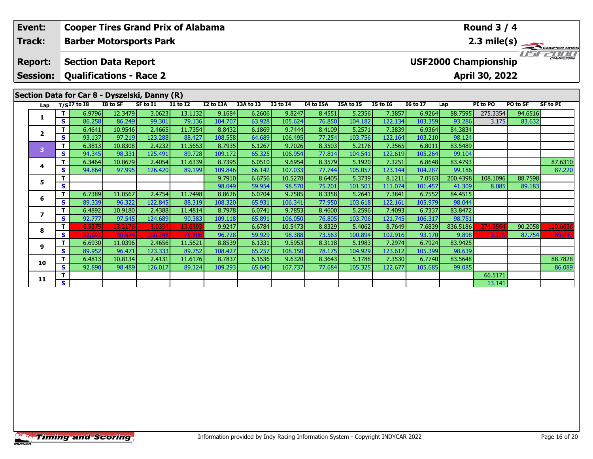|  | Event:                            |          | <b>Cooper Tires Grand Prix of Alabama</b>                    |          |          |                 |           |           |                                                                        |           |           |                 |                 |          | <b>Round 3 / 4</b> |          |                 |
|--|-----------------------------------|----------|--------------------------------------------------------------|----------|----------|-----------------|-----------|-----------|------------------------------------------------------------------------|-----------|-----------|-----------------|-----------------|----------|--------------------|----------|-----------------|
|  | Track:                            |          | <b>Barber Motorsports Park</b>                               |          |          |                 |           |           |                                                                        |           |           |                 |                 |          |                    |          |                 |
|  | <b>Report:</b><br><b>Session:</b> |          | <b>Section Data Report</b><br><b>Qualifications - Race 2</b> |          |          |                 |           |           | $2.3 \text{ mile(s)}$<br><b>USF2000 Championship</b><br>April 30, 2022 |           |           |                 |                 |          |                    |          |                 |
|  |                                   |          | Section Data for Car 8 - Dyszelski, Danny (R)                |          |          |                 |           |           |                                                                        |           |           |                 |                 |          |                    |          |                 |
|  | Lap                               |          | $T/SI7$ to $I8$                                              | I8 to SF | SF to I1 | <b>I1 to I2</b> | I2 to I3A | I3A to I3 | <b>I3 to I4</b>                                                        | I4 to I5A | I5A to I5 | <b>I5 to 16</b> | <b>16 to 17</b> | Lap      | PI to PO           | PO to SF | <b>SF to PI</b> |
|  | 1                                 | T.       | 6.9796                                                       | 12.3479  | 3.0623   | 13.1132         | 9.1684    | 6.2606    | 9.8247                                                                 | 8.4551    | 5.2356    | 7.3857          | 6.9264          | 88.7595  | 275.3354           | 94.6516  |                 |
|  |                                   | S        | 86.258                                                       | 86.249   | 99.301   | 79.136          | 104.707   | 63.928    | 105.624                                                                | 76.850    | 104.182   | 122.134         | 103.359         | 93.286   | 3.175              | 83.632   |                 |
|  |                                   | T.       | 6.4641                                                       | 10.9546  | 2.4665   | 11.7354         | 8.8432    | 6.1869    | 9.7444                                                                 | 8.4109    | 5.2571    | 7.3839          | 6.9364          | 84.3834  |                    |          |                 |
|  | $\mathbf{2}$                      | S.       | 93.137                                                       | 97.219   | 123.288  | 88.427          | 108.558   | 64.689    | 106.495                                                                | 77.254    | 103.756   | 122.164         | 103.210         | 98.124   |                    |          |                 |
|  |                                   | T.       | 6.3813                                                       | 10.8308  | 2.4232   | 11.5653         | 8.7935    | 6.1267    | 9.7026                                                                 | 8.3503    | 5.2176    | 7.3565          | 6.8011          | 83.5489  |                    |          |                 |
|  | 3<br>4                            | <b>S</b> | 94.345                                                       | 98.331   | 125.491  | 89.728          | 109.172   | 65.325    | 106.954                                                                | 77.814    | 104.541   | 122.619         | 105.264         | 99.104   |                    |          |                 |
|  |                                   |          | 6.3464                                                       | 10.8679  | 2.4054   | 11.6339         | 8.7395    | 6.0510    | 9.6954                                                                 | 8.3579    | 5.1920    | 7.3251          | 6.8648          | 83.4793  |                    |          | 87.6310         |
|  |                                   | S        | 94.864                                                       | 97.995   | 126.420  | 89.199          | 109.846   | 66.142    | 107.033                                                                | 77.744    | 105.057   | 123.144         | 104.287         | 99.186   |                    |          | 87.220          |
|  | 5.                                | T        |                                                              |          |          |                 | 9.7910    | 6.6756    | 10.5278                                                                | 8.6405    | 5.3739    | 8.1211          | 7.0563          | 200.4398 | 108.1096           | 88.7598  |                 |
|  |                                   | S        |                                                              |          |          |                 | 98.049    | 59.954    | 98.570                                                                 | 75.201    | 101.501   | 111.074         | 101.457         | 41.309   | 8.085              | 89.183   |                 |
|  |                                   | т        | 6.7389                                                       | 11.0567  | 2.4754   | 11.7498         | 8.8626    | 6.0704    | 9.7585                                                                 | 8.3358    | 5.2641    | 7.3841          | 6.7552          | 84.4515  |                    |          |                 |
|  |                                   | S        | 89.339                                                       | 96.322   | 122.845  | 88.319          | 108.320   | 65.931    | 106.341                                                                | 77.950    | 103.618   | 122.161         | 105.979         | 98.044   |                    |          |                 |
|  | 6<br>$\mathbf{z}$<br>8<br>9       | T.       | 6.4892                                                       | 10.9180  | 2.4388   | 11.4814         | 8.7978    | 6.0741    | 9.7853                                                                 | 8.4600    | 5.2596    | 7.4093          | 6.7337          | 83.8472  |                    |          |                 |
|  |                                   | S.       | 92.777                                                       | 97.545   | 124.689  | 90.383          | 109.118   | 65.891    | 106.050                                                                | 76.805    | 103.706   | 121.745         | 106.317         | 98.751   |                    |          |                 |
|  |                                   | T        | 6.5375                                                       | 13.2176  | 3.0334   | 13.689          | 9.9247    | 6.6784    | 10.5473                                                                | 8.8329    | 5.4062    | 8.7649          | 7.6839          | 836.5186 | 274.9564           | 90.2058  | 110.0636        |
|  |                                   | S        | 92.091                                                       | 80.574   | 100.248  | 75.80           | 96.728    | 59.929    | 98.388                                                                 | 73.563    | 100.894   | 102.916         | 93.170          | 9.898    | 3.179              | 87.754   | 69.443          |
|  |                                   | T.       | 6.6930                                                       | 11.0396  | 2.4656   | 11.5621         | 8.8539    | 6.1331    | 9.5953                                                                 | 8.3118    | 5.1983    | 7.2974          | 6.7924          | 83.9425  |                    |          |                 |
|  |                                   | S        | 89.952                                                       | 96.471   | 123.333  | 89.752          | 108.427   | 65.257    | 108.150                                                                | 78.175    | 104.929   | 123.612         | 105.399         | 98.639   |                    |          |                 |
|  |                                   | т        | 6.4813                                                       | 10.8134  | 2.4131   | 11.6176         | 8.7837    | 6.1536    | 9.6320                                                                 | 8.3643    | 5.1788    | 7.3530          | 6.7740          | 83.5648  |                    |          | 88.7828         |
|  | 10                                | S.       | 92.890                                                       | 98.489   | 126.017  | 89.324          | 109.293   | 65.040    | 107.737                                                                | 77.684    | 105.325   | 122.677         | 105.685         | 99.085   |                    |          | 86.089          |

**T S** 1 **S** 1 **S** 13.141

**11**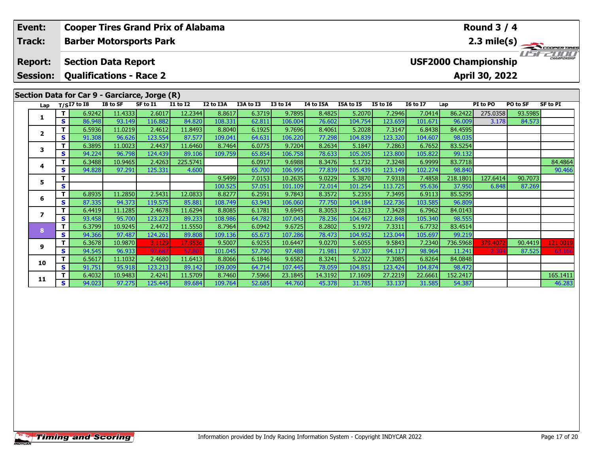| Event:                            |          | <b>Cooper Tires Grand Prix of Alabama</b>                    |          |          |                 |           |           |                 | <b>Round 3 / 4</b> |           |                                                               |                 |          |          |          |                 |  |  |  |  |
|-----------------------------------|----------|--------------------------------------------------------------|----------|----------|-----------------|-----------|-----------|-----------------|--------------------|-----------|---------------------------------------------------------------|-----------------|----------|----------|----------|-----------------|--|--|--|--|
| Track:                            |          | <b>Barber Motorsports Park</b>                               |          |          |                 |           |           |                 |                    |           |                                                               |                 |          |          |          | 2.3 mile(s)     |  |  |  |  |
| <b>Report:</b><br><b>Session:</b> |          | <b>Section Data Report</b><br><b>Qualifications - Race 2</b> |          |          |                 |           |           |                 |                    |           | CHAMPIONSHIP<br><b>USF2000 Championship</b><br>April 30, 2022 |                 |          |          |          |                 |  |  |  |  |
|                                   |          | Section Data for Car 9 - Garciarce, Jorge (R)                |          |          |                 |           |           |                 |                    |           |                                                               |                 |          |          |          |                 |  |  |  |  |
| Lap                               |          | $T/SI7$ to I8                                                | I8 to SF | SF to I1 | <b>I1 to I2</b> | I2 to I3A | I3A to I3 | <b>I3 to 14</b> | I4 to I5A          | I5A to I5 | <b>I5 to 16</b>                                               | <b>I6 to I7</b> | Lap      | PI to PO | PO to SF | <b>SF to PI</b> |  |  |  |  |
| 1                                 | T.       | 6.9242                                                       | 11.4333  | 2.6017   | 12.2344         | 8.8617    | 6.3719    | 9.7895          | 8.4825             | 5.2070    | 7.2946                                                        | 7.0414          | 86.2422  | 275.0358 | 93.5985  |                 |  |  |  |  |
|                                   | S.       | 86.948                                                       | 93.149   | 116.882  | 84.820          | 108.331   | 62.811    | 106.004         | 76.602             | 104.754   | 123.659                                                       | 101.671         | 96.009   | 3.178    | 84.573   |                 |  |  |  |  |
| $\overline{2}$                    |          | 6.5936                                                       | 11.0219  | 2.4612   | 11.8493         | 8.8040    | 6.1925    | 9.7696          | 8.4061             | 5.2028    | 7.3147                                                        | 6.8438          | 84.4595  |          |          |                 |  |  |  |  |
|                                   | S.       | 91.308                                                       | 96.626   | 123.554  | 87.577          | 109.041   | 64.631    | 106.220         | 77.298             | 104.839   | 123.320                                                       | 104.607         | 98.035   |          |          |                 |  |  |  |  |
| 3                                 |          | 6.3895                                                       | 11.0023  | 2.4437   | 11.6460         | 8.7464    | 6.0775    | 9.7204          | 8.2634             | 5.1847    | 7.2863                                                        | 6.7652          | 83.5254  |          |          |                 |  |  |  |  |
|                                   | <b>S</b> | 94.224                                                       | 96.798   | 124.439  | 89.106          | 109.759   | 65.854    | 106.758         | 78.633             | 105.205   | 123.800                                                       | 105.822         | 99.132   |          |          |                 |  |  |  |  |
| 4                                 |          | 6.3488                                                       | 10.9465  | 2.4263   | 225.5741        |           | 6.0917    | 9.6988          | 8.3476             | 5.1732    | 7.3248                                                        | 6.9999          | 83.7718  |          |          | 84.4864         |  |  |  |  |
|                                   | S.       | 94.828                                                       | 97.291   | 125.331  | 4.600           |           | 65.700    | 106.995         | 77.839             | 105.439   | 123.149                                                       | 102.274         | 98.840   |          |          | 90.466          |  |  |  |  |
| 5.                                |          |                                                              |          |          |                 | 9.5499    | 7.0153    | 10.2635         | 9.0229             | 5.3870    | 7.9318                                                        | 7.4858          | 218.1801 | 127.6414 | 90.7073  |                 |  |  |  |  |
|                                   | S        |                                                              |          |          |                 | 100.525   | 57.051    | 101.109         | 72.014             | 101.254   | 113.725                                                       | 95.636          | 37.950   | 6.848    | 87.269   |                 |  |  |  |  |
| 6                                 | т        | 6.8935                                                       | 11.2850  | 2.5431   | 12.0833         | 8.8277    | 6.2591    | 9.7843          | 8.3572             | 5.2355    | 7.3495                                                        | 6.9113          | 85.5295  |          |          |                 |  |  |  |  |
|                                   | <b>S</b> | 87.335                                                       | 94.373   | 119.575  | 85.881          | 108.749   | 63.943    | 106.060         | 77.750             | 104.184   | 122.736                                                       | 103.585         | 96.809   |          |          |                 |  |  |  |  |
| $\overline{\phantom{a}}$          | т        | 6.4419                                                       | 11.1285  | 2.4678   | 11.6294         | 8.8085    | 6.1781    | 9.6945          | 8.3053             | 5.2213    | 7.3428                                                        | 6.7962          | 84.0143  |          |          |                 |  |  |  |  |
|                                   | S.       | 93.458                                                       | 95.700   | 123.223  | 89.233          | 108.986   | 64.782    | 107.043         | 78.236             | 104.467   | 122.848                                                       | 105.340         | 98.555   |          |          |                 |  |  |  |  |
| 8                                 | т        | 6.3799                                                       | 10.9245  | 2.4472   | 11.5550         | 8.7964    | 6.0942    | 9.6725          | 8.2802             | 5.1972    | 7.3311                                                        | 6.7732          | 83.4514  |          |          |                 |  |  |  |  |
|                                   | S.       | 94.366                                                       | 97.487   | 124.261  | 89.808          | 109.136   | 65.673    | 107.286         | 78.473             | 104.952   | 123.044                                                       | 105.697         | 99.219   |          |          |                 |  |  |  |  |
| 9                                 | т        | 6.3678                                                       | 10.9870  | 3.1129   | 17.9536         | 9.5007    | 6.9255    | 10.6447         | 9.0270             | 5.6055    | 9.5843                                                        | 7.2340          | 736.5968 | 379.407  | 90.4419  | 121.0019        |  |  |  |  |
|                                   | S.       | 94.545                                                       | 96.933   | 97.68    |                 | 101.045   | 57.790    | 97.488          | 71.981             | 97.307    | 94.117                                                        | 98.964          | 11.241   | 2.304    | 87.525   | 63.166          |  |  |  |  |
| 10                                |          | 6.5617                                                       | 11.1032  | 2.4680   | 11.6413         | 8.8066    | 6.1846    | 9.6582          | 8.3241             | 5.2022    | 7.3085                                                        | 6.8264          | 84.0848  |          |          |                 |  |  |  |  |
|                                   | S.       | 91.751                                                       | 95.918   | 123.213  | 89.142          | 109.009   | 64.714    | 107.445         | 78.059             | 104.851   | 123.424                                                       | 104.874         | 98.472   |          |          |                 |  |  |  |  |

**<sup>T</sup>** 6.4032 10.9483 2.4241 11.5709 8.7460 7.5966 23.1845 14.3192 17.1609 27.2219 22.6661 152.2417 165.1411 **<sup>S</sup>** 94.023 97.275 125.445 89.684 109.764 52.685 44.760 45.378 31.785 33.137 31.585 54.387 46.283

46.283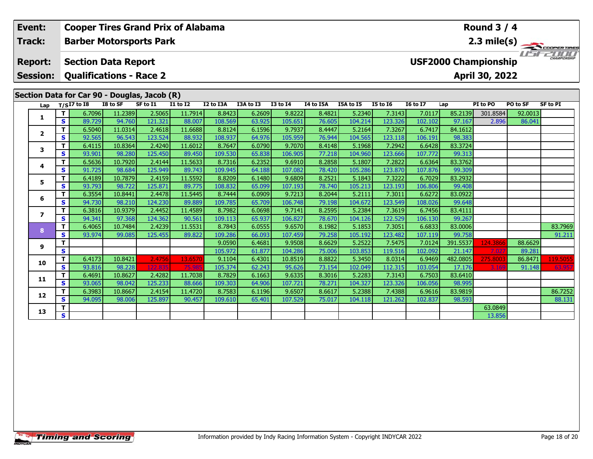|  | Event:          |              |                                |                   | <b>Cooper Tires Grand Prix of Alabama</b>    |                   | <b>Round 3 / 4</b> |                  |                   |                  |                   |                   |                                                   |                   |                  |          |                 |  |  |  |
|--|-----------------|--------------|--------------------------------|-------------------|----------------------------------------------|-------------------|--------------------|------------------|-------------------|------------------|-------------------|-------------------|---------------------------------------------------|-------------------|------------------|----------|-----------------|--|--|--|
|  | Track:          |              |                                |                   | <b>Barber Motorsports Park</b>               |                   |                    |                  |                   |                  |                   |                   |                                                   |                   |                  |          | 2.3 mile(s)     |  |  |  |
|  | <b>Report:</b>  |              | <b>Section Data Report</b>     |                   |                                              |                   |                    |                  |                   |                  |                   |                   | <b>CHAMPIONSHI</b><br><b>USF2000 Championship</b> |                   |                  |          |                 |  |  |  |
|  | <b>Session:</b> |              | <b>Qualifications - Race 2</b> |                   |                                              |                   |                    |                  |                   |                  |                   |                   |                                                   |                   | April 30, 2022   |          |                 |  |  |  |
|  |                 |              |                                |                   | Section Data for Car 90 - Douglas, Jacob (R) |                   |                    |                  |                   |                  |                   |                   |                                                   |                   |                  |          |                 |  |  |  |
|  | Lap             |              | $T/SI7$ to I8                  | I8 to SF          | SF to I1                                     | <b>I1 to I2</b>   | I2 to I3A          | I3A to I3        | $13$ to $14$      | I4 to I5A        | I5A to I5         | <b>I5 to 16</b>   | <b>I6 to I7</b>                                   | Lap               | PI to PO         | PO to SF | <b>SF to PI</b> |  |  |  |
|  | 1               | $\mathbf{T}$ | 6.7096                         | 11.2389           | 2.5065                                       | 11.7914           | 8.8423             | 6.2609           | 9.8222            | 8.4821           | 5.2340            | 7.3143            | 7.0117                                            | 85.2139           | 301.8584         | 92.0013  |                 |  |  |  |
|  |                 | $\mathbf{s}$ | 89.729                         | 94.760            | 121.321                                      | 88.007            | 108.569            | 63.925           | 105.651           | 76.605           | 104.214           | 123.326           | 102.102                                           | 97.167            | 2.896            | 86.041   |                 |  |  |  |
|  | $\mathbf{2}$    | т            | 6.5040                         | 11.0314           | 2.4618                                       | 11.6688           | 8.8124             | 6.1596           | 9.7937            | 8.4447           | 5.2164            | 7.3267            | 6.7417                                            | 84.1612           |                  |          |                 |  |  |  |
|  |                 | S            | 92.565                         | 96.543            | 123.524                                      | 88.932            | 108.937            | 64.976           | 105.959           | 76.944           | 104.565           | 123.118           | 106.191                                           | 98.383            |                  |          |                 |  |  |  |
|  | 3               | т            | 6.4115                         | 10.8364           | 2.4240                                       | 11.6012           | 8.7647             | 6.0790           | 9.7070            | 8.4148           | 5.1968            | 7.2942            | 6.6428                                            | 83.3724<br>99.313 |                  |          |                 |  |  |  |
|  |                 | S<br>T.      | 93.901<br>6.5636               | 98.280<br>10.7920 | 125.450<br>2.4144                            | 89.450<br>11.5633 | 109.530<br>8.7316  | 65.838<br>6.2352 | 106.905<br>9.6910 | 77.218<br>8.2858 | 104.960<br>5.1807 | 123.666<br>7.2822 | 107.772<br>6.6364                                 | 83.3762           |                  |          |                 |  |  |  |
|  | 4               | S            | 91.725                         | 98.684            | 125.949                                      | 89.743            | 109.945            | 64.188           | 107.082           | 78.420           | 105.286           | 123.870           | 107.876                                           | 99.309            |                  |          |                 |  |  |  |
|  | 5               | T            | 6.4189                         | 10.7879           | 2.4159                                       | 11.5592           | 8.8209             | 6.1480           | 9.6809            | 8.2521           | 5.1843            | 7.3222            | 6.7029                                            | 83.2932           |                  |          |                 |  |  |  |
|  |                 | $\mathbf{s}$ | 93.793                         | 98.722            | 125.871                                      | 89.775            | 108.832            | 65.099           | 107.193           | 78.740           | 105.213           | 123.193           | 106.806                                           | 99.408            |                  |          |                 |  |  |  |
|  |                 | T.           | 6.3554                         | 10.8441           | 2.4478                                       | 11.5445           | 8.7444             | 6.0909           | 9.7213            | 8.2044           | 5.2111            | 7.3011            | 6.6272                                            | 83.0922           |                  |          |                 |  |  |  |
|  | 6               | $\mathbf{s}$ | 94.730                         | 98.210            | 124.230                                      | 89.889            | 109.785            | 65.709           | 106.748           | 79.198           | 104.672           | 123.549           | 108.026                                           | 99.648            |                  |          |                 |  |  |  |
|  | $\overline{ }$  | T            | 6.3816                         | 10.9379           | 2.4452                                       | 11.4589           | 8.7982             | 6.0698           | 9.7141            | 8.2595           | 5.2384            | 7.3619            | 6.7456                                            | 83.4111           |                  |          |                 |  |  |  |
|  |                 | $\mathbf{s}$ | 94.341                         | 97.368            | 124.362                                      | 90.561            | 109.113            | 65.937           | 106.827           | 78.670           | 104.126           | 122.529           | 106.130                                           | 99.267            |                  |          |                 |  |  |  |
|  | 8               | $\mathbf{T}$ | 6.4065                         | 10.7484           | 2.4239                                       | 11.5531           | 8.7843             | 6.0555           | 9.6570            | 8.1982           | 5.1853            | 7.3051            | 6.6833                                            | 83.0006           |                  |          | 83.7969         |  |  |  |
|  |                 | $\mathbf{s}$ | 93.974                         | 99.085            | 125.455                                      | 89.822            | 109.286            | 66.093           | 107.459           | 79.258           | 105.192           | 123.482           | 107.119                                           | 99.758            |                  |          | 91.211          |  |  |  |
|  | 9               | T            |                                |                   |                                              |                   | 9.0590             | 6.4681           | 9.9508            | 8.6629           | 5.2522            | 7.5475            | 7.0124                                            | 391.5537          | 124.3866         | 88.6629  |                 |  |  |  |
|  |                 | $\mathbf{s}$ |                                |                   |                                              |                   | 105.972            | 61.877           | 104.286           | 75.006           | 103.853           | 119.516           | 102.092                                           | 21.147            | 7.02             | 89.281   |                 |  |  |  |
|  | 10              | $\mathbf{T}$ | 6.4173                         | 10.8421           | 2.4756                                       | 13.657            | 9.1104             | 6.4301           | 10.8519           | 8.8822           | 5.3450            | 8.0314            | 6.9469                                            | 482.0805          | 275.8003<br>3.16 | 86.8471  | 119.5055        |  |  |  |
|  |                 | S<br>т       | 93.816<br>6.4691               | 98.228<br>10.8627 | 122.83<br>2.4282                             | 75.98<br>11.7038  | 105.374<br>8.7829  | 62.243<br>6.1663 | 95.626<br>9.6335  | 73.154<br>8.3016 | 102.049<br>5.2283 | 112.315<br>7.3143 | 103.054<br>6.7503                                 | 17.176<br>83.6410 |                  | 91.148   | 63.95           |  |  |  |
|  | 11              | $\mathbf{s}$ | 93.065                         | 98.042            | 125.233                                      | 88.666            | 109.303            | 64.906           | 107.721           | 78.271           | 104.327           | 123.326           | 106.056                                           | 98.995            |                  |          |                 |  |  |  |
|  |                 | $\mathbf T$  | 6.3983                         | 10.8667           | 2.4154                                       | 11.4720           | 8.7583             | 6.1196           | 9.6507            | 8.6617           | 5.2388            | 7.4388            | 6.9616                                            | 83.9819           |                  |          | 86.7252         |  |  |  |
|  | 12              | S            | 94.095                         | 98.006            | 125.897                                      | 90.457            | 109.610            | 65.401           | 107.529           | 75.017           | 104.118           | 121.262           | 102.837                                           | 98.593            |                  |          | 88.131          |  |  |  |
|  |                 | т            |                                |                   |                                              |                   |                    |                  |                   |                  |                   |                   |                                                   |                   | 63.0849          |          |                 |  |  |  |
|  | 13              | S            |                                |                   |                                              |                   |                    |                  |                   |                  |                   |                   |                                                   |                   | 13.856           |          |                 |  |  |  |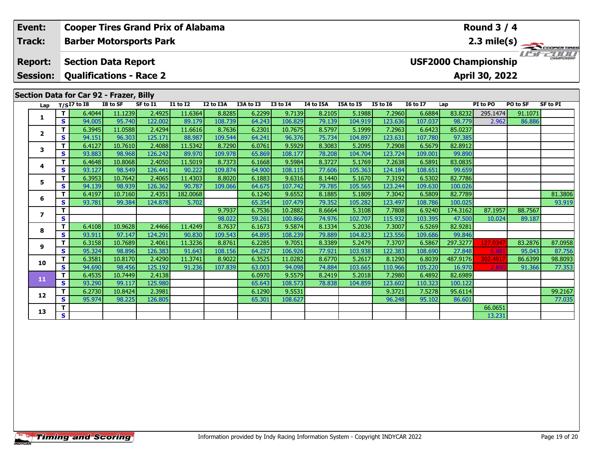|  | Event:          |        |                                         |                   |                                | <b>Cooper Tires Grand Prix of Alabama</b> |                   |                  | <b>Round 3 / 4</b> |                  |                   |                   |                                             |                     |                   |                   |                 |  |  |  |
|--|-----------------|--------|-----------------------------------------|-------------------|--------------------------------|-------------------------------------------|-------------------|------------------|--------------------|------------------|-------------------|-------------------|---------------------------------------------|---------------------|-------------------|-------------------|-----------------|--|--|--|
|  | Track:          |        |                                         |                   | <b>Barber Motorsports Park</b> |                                           |                   |                  |                    |                  |                   |                   |                                             |                     |                   |                   | 2.3 mile(s)     |  |  |  |
|  | <b>Report:</b>  |        | <b>Section Data Report</b>              |                   |                                |                                           |                   |                  |                    |                  |                   |                   | CHAMPIONSHIP<br><b>USF2000 Championship</b> |                     |                   |                   |                 |  |  |  |
|  | <b>Session:</b> |        |                                         |                   | <b>Qualifications - Race 2</b> |                                           |                   |                  |                    |                  |                   |                   |                                             |                     | April 30, 2022    |                   |                 |  |  |  |
|  |                 |        | Section Data for Car 92 - Frazer, Billy |                   |                                |                                           |                   |                  |                    |                  |                   |                   |                                             |                     |                   |                   |                 |  |  |  |
|  | Lap             |        | $T/SI7$ to I8                           | I8 to SF          | SF to I1                       | <b>I1 to I2</b>                           | I2 to I3A         | I3A to I3        | <b>I3 to I4</b>    | I4 to I5A        | I5A to I5         | <b>I5 to 16</b>   | <b>16 to 17</b>                             | Lap                 | PI to PO          | PO to SF          | <b>SF to PI</b> |  |  |  |
|  | 1               | т<br>S | 6.4044<br>94.005                        | 11.1239<br>95.740 | 2.4925<br>122.002              | 11.6364<br>89.179                         | 8.8285<br>108.739 | 6.2299<br>64.243 | 9.7139<br>106.829  | 8.2105<br>79.139 | 5.1988<br>104.919 | 7.2960<br>123.636 | 6.6884<br>107.037                           | 83.8232<br>98.779   | 295.1474<br>2.962 | 91.1071<br>86.886 |                 |  |  |  |
|  |                 | т      | 6.3945                                  | 11.0588           | 2.4294                         | 11.6616                                   | 8.7636            | 6.2301           | 10.7675            | 8.5797           | 5.1999            | 7.2963            | 6.6423                                      | 85.0237             |                   |                   |                 |  |  |  |
|  | $\mathbf{2}$    | S      | 94.151                                  | 96.303            | 125.171                        | 88.987                                    | 109.544           | 64.241           | 96.376             | 75.734           | 104.897           | 123.631           | 107.780                                     | 97.385              |                   |                   |                 |  |  |  |
|  |                 | T.     | 6.4127                                  | 10.7610           | 2.4088                         | 11.5342                                   | 8.7290            | 6.0761           | 9.5929             | 8.3083           | 5.2095            | 7.2908            | 6.5679                                      | 82.8912             |                   |                   |                 |  |  |  |
|  | 3               | S.     | 93.883                                  | 98.968            | 126.242                        | 89.970                                    | 109.978           | 65.869           | 108.177            | 78.208           | 104.704           | 123.724           | 109.001                                     | 99.890              |                   |                   |                 |  |  |  |
|  | 4               | т      | 6.4648                                  | 10.8068           | 2.4050                         | 11.5019                                   | 8.7373            | 6.1668           | 9.5984             | 8.3727           | 5.1769            | 7.2638            | 6.5891                                      | 83.0835             |                   |                   |                 |  |  |  |
|  |                 | S      | 93.127                                  | 98.549            | 126.441                        | 90.222                                    | 109.874           | 64.900           | 108.115            | 77.606           | 105.363           | 124.184           | 108.651                                     | 99.659              |                   |                   |                 |  |  |  |
|  | 5               | т      | 6.3953                                  | 10.7642           | 2.4065                         | 11.4303                                   | 8.8020            | 6.1883           | 9.6316             | 8.1440           | 5.1670            | 7.3192            | 6.5302                                      | 82.7786             |                   |                   |                 |  |  |  |
|  |                 | S      | 94.139                                  | 98.939            | 126.362                        | 90.787                                    | 109.066           | 64.675           | 107.742            | 79.785           | 105.565           | 123.244           | 109.630                                     | 100.026             |                   |                   |                 |  |  |  |
|  | 6               | т      | 6.4197                                  | 10.7160           | 2.4351                         | 182.0068                                  |                   | 6.1240           | 9.6552             | 8.1885           | 5.1809            | 7.3042            | 6.5809                                      | 82.7789             |                   |                   | 81.3806         |  |  |  |
|  |                 | S      | 93.781                                  | 99.384            | 124.878                        | 5.702                                     | 9.7937            | 65.354           | 107.479<br>10.2882 | 79.352<br>8.6664 | 105.282<br>5.3108 | 123.497           | 108.786                                     | 100.025<br>174.3162 | 87.1957           | 88.7567           | 93.919          |  |  |  |
|  | $\overline{ }$  | т<br>S |                                         |                   |                                |                                           | 98.022            | 6.7536<br>59.261 | 100.866            | 74.976           | 102.707           | 7.7808<br>115.932 | 6.9240<br>103.395                           | 47.500              | 10.024            | 89.187            |                 |  |  |  |
|  |                 | T      | 6.4108                                  | 10.9628           | 2.4466                         | 11.4249                                   | 8.7637            | 6.1673           | 9.5874             | 8.1334           | 5.2036            | 7.3007            | 6.5269                                      | 82.9281             |                   |                   |                 |  |  |  |
|  | 8               | S.     | 93.911                                  | 97.147            | 124.291                        | 90.830                                    | 109.543           | 64.895           | 108.239            | 79.889           | 104.823           | 123.556           | 109.686                                     | 99.846              |                   |                   |                 |  |  |  |
|  |                 | т      | 6.3158                                  | 10.7689           | 2.4061                         | 11.3236                                   | 8.8761            | 6.2285           | 9.7051             | 8.3389           | 5.2479            | 7.3707            | 6.5867                                      | 297.3277            | 127.0347          | 83.2876           | 87.0958         |  |  |  |
|  | 9               | S      | 95.324                                  | 98.896            | 126.383                        | 91.643                                    | 108.156           | 64.257           | 106.926            | 77.921           | 103.938           | 122.383           | 108.690                                     | 27.848              | 6.88              | 95.043            | 87.756          |  |  |  |
|  | 10              | т      | 6.3581                                  | 10.8170           | 2.4290                         | 11.3741                                   | 8.9022            | 6.3525           | 11.0282            | 8.6770           | 5.2617            | 8.1290            | 6.8039                                      | 487.9176            | 302.491           | 86.6399           | 98.8093         |  |  |  |
|  |                 | S      | 94.690                                  | 98.456            | 125.192                        | 91.236                                    | 107.839           | 63.003           | 94.098             | 74.884           | 103.665           | 110.966           | 105.220                                     | 16.970              | 2 89              | 91.366            | 77.353          |  |  |  |
|  | 11              | T      | 6.4535                                  | 10.7449           | 2.4138                         |                                           |                   | 6.0970           | 9.5579             | 8.2419           | 5.2018            | 7.2980            | 6.4892                                      | 82.6989             |                   |                   |                 |  |  |  |
|  |                 | S.     | 93.290                                  | 99.117            | 125.980                        |                                           |                   | 65.643           | 108.573            | 78.838           | 104.859           | 123.602           | 110.323                                     | 100.122             |                   |                   |                 |  |  |  |
|  | 12              |        | 6.2730                                  | 10.8424           | 2.3981                         |                                           |                   | 6.1290           | 9.5531             |                  |                   | 9.3721            | 7.5278                                      | 95.6114             |                   |                   | 99.2167         |  |  |  |
|  |                 | S      | 95.974                                  | 98.225            | 126.805                        |                                           |                   | 65.301           | 108.627            |                  |                   | 96.248            | 95.102                                      | 86.601              |                   |                   | 77.035          |  |  |  |

**T S** 1 **S** 1 **S** 1 **S** 231

**13**

Г